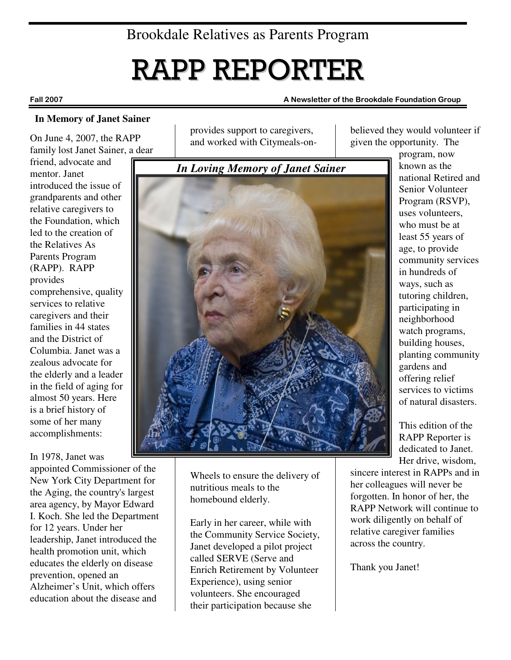# RAPP REPORTER

#### **In Memory of Janet Sainer**

On June 4, 2007, the RAPP family lost Janet Sainer, a dear

friend, advocate and mentor. Janet introduced the issue of grandparents and other relative caregivers to the Foundation, which led to the creation of the Relatives As Parents Program (RAPP). RAPP provides comprehensive, quality services to relative caregivers and their families in 44 states and the District of Columbia. Janet was a zealous advocate for the elderly and a leader in the field of aging for almost 50 years. Here is a brief history of some of her many accomplishments:

In 1978, Janet was

appointed Commissioner of the New York City Department for the Aging, the country's largest area agency, by Mayor Edward I. Koch. She led the Department for 12 years. Under her leadership, Janet introduced the health promotion unit, which educates the elderly on disease prevention, opened an Alzheimer's Unit, which offers education about the disease and

provides support to caregivers, and worked with Citymeals-on-



Wheels to ensure the delivery of nutritious meals to the homebound elderly.

Early in her career, while with the Community Service Society, Janet developed a pilot project called SERVE (Serve and Enrich Retirement by Volunteer Experience), using senior volunteers. She encouraged their participation because she

believed they would volunteer if given the opportunity. The

> program, now known as the national Retired and Senior Volunteer Program (RSVP), uses volunteers, who must be at least 55 years of age, to provide community services in hundreds of ways, such as tutoring children, participating in neighborhood watch programs, building houses, planting community gardens and offering relief services to victims of natural disasters.

This edition of the RAPP Reporter is dedicated to Janet. Her drive, wisdom,

sincere interest in RAPPs and in her colleagues will never be forgotten. In honor of her, the RAPP Network will continue to work diligently on behalf of relative caregiver families across the country.

Thank you Janet!

#### Fall 2007 A Newsletter of the Brookdale Foundation Group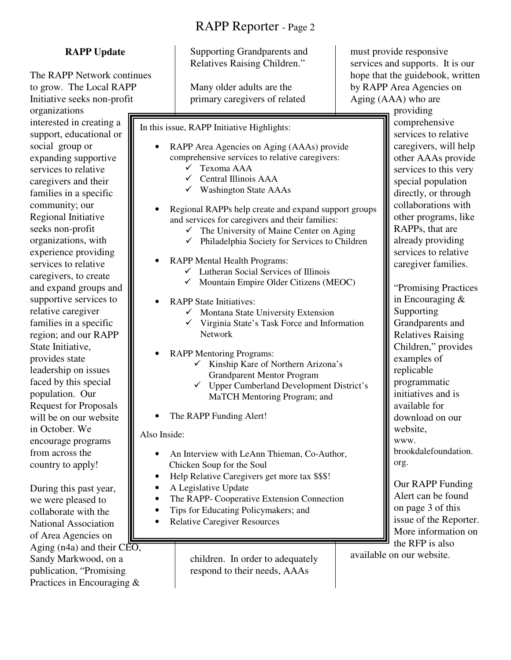#### **RAPP Update**

The RAPP Network continues to grow. The Local RAPP Initiative seeks non-profit organizations interested in creating a support, educational or social group or expanding supportive services to relative caregivers and their families in a specific community; our Regional Initiative seeks non-profit organizations, with experience providing services to relative caregivers, to create and expand groups and supportive services to relative caregiver families in a specific region; and our RAPP State Initiative, provides state leadership on issues faced by this special population. Our Request for Proposals will be on our website in October. We encourage programs from across the country to apply!

During this past year, we were pleased to collaborate with the National Association of Area Agencies on Aging (n4a) and their  $CEO$ , Sandy Markwood, on a publication, "Promising Practices in Encouraging &

Supporting Grandparents and Relatives Raising Children."

Many older adults are the primary caregivers of related

In this issue, RAPP Initiative Highlights:

- RAPP Area Agencies on Aging (AAAs) provide comprehensive services to relative caregivers:
	- Texoma AAA
	- $\checkmark$  Central Illinois AAA
	- $\checkmark$  Washington State AAAs
- Regional RAPPs help create and expand support groups and services for caregivers and their families:
	- $\checkmark$  The University of Maine Center on Aging
	- $\checkmark$  Philadelphia Society for Services to Children
- RAPP Mental Health Programs:
	- $\checkmark$  Lutheran Social Services of Illinois
	- $\checkmark$  Mountain Empire Older Citizens (MEOC)
	- RAPP State Initiatives:
		- $\checkmark$  Montana State University Extension
		- $\checkmark$  Virginia State's Task Force and Information Network
	- RAPP Mentoring Programs:
		- $\checkmark$  Kinship Kare of Northern Arizona's Grandparent Mentor Program
		- $\checkmark$  Upper Cumberland Development District's MaTCH Mentoring Program; and
- The RAPP Funding Alert!

Also Inside:

- An Interview with LeAnn Thieman, Co-Author, Chicken Soup for the Soul
- Help Relative Caregivers get more tax \$\$\$!
- A Legislative Update
- The RAPP- Cooperative Extension Connection
- Tips for Educating Policymakers; and
- Relative Caregiver Resources

children. In order to adequately respond to their needs, AAAs

must provide responsive services and supports. It is our hope that the guidebook, written by RAPP Area Agencies on Aging (AAA) who are

providing comprehensive services to relative caregivers, will help other AAAs provide services to this very special population directly, or through collaborations with other programs, like RAPPs, that are already providing services to relative caregiver families.

"Promising Practices in Encouraging & Supporting Grandparents and Relatives Raising Children," provides examples of replicable programmatic initiatives and is available for download on our website, www. brookdalefoundation. org.

Our RAPP Funding Alert can be found on page 3 of this issue of the Reporter. More information on the RFP is also

available on our website.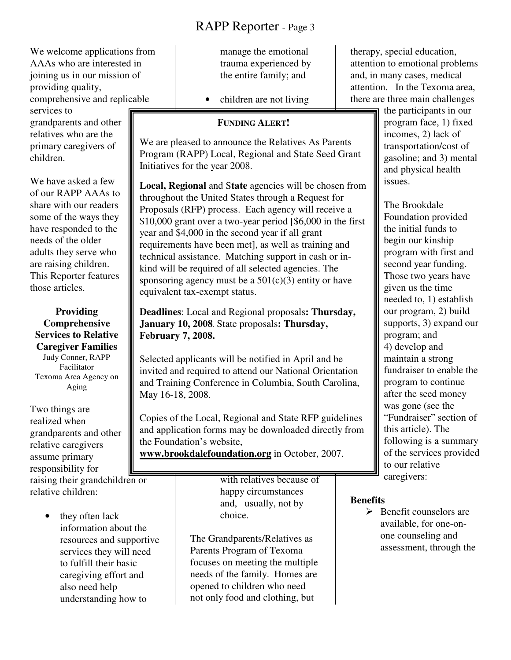We welcome applications from AAAs who are interested in joining us in our mission of providing quality, comprehensive and replicable services to grandparents and other relatives who are the primary caregivers of children.

We have asked a few of our RAPP AAAs to share with our readers some of the ways they have responded to the needs of the older adults they serve who are raising children. This Reporter features those articles.

**Providing Comprehensive Services to Relative Caregiver Families**  Judy Conner, RAPP Facilitator Texoma Area Agency on Aging

Two things are realized when grandparents and other relative caregivers assume primary responsibility for raising their grandchildren or relative children:

> they often lack information about the resources and supportive services they will need to fulfill their basic caregiving effort and also need help understanding how to

manage the emotional trauma experienced by the entire family; and

• children are not living

#### **FUNDING ALERT!**

We are pleased to announce the Relatives As Parents Program (RAPP) Local, Regional and State Seed Grant Initiatives for the year 2008.

**Local, Regional** and S**tate** agencies will be chosen from throughout the United States through a Request for Proposals (RFP) process. Each agency will receive a \$10,000 grant over a two-year period [\$6,000 in the first year and \$4,000 in the second year if all grant requirements have been met], as well as training and technical assistance. Matching support in cash or inkind will be required of all selected agencies. The sponsoring agency must be a  $501(c)(3)$  entity or have equivalent tax-exempt status.

**Deadlines**: Local and Regional proposals**: Thursday, January 10, 2008**. State proposals**: Thursday, February 7, 2008.** 

Selected applicants will be notified in April and be invited and required to attend our National Orientation and Training Conference in Columbia, South Carolina, May 16-18, 2008.

Copies of the Local, Regional and State RFP guidelines and application forms may be downloaded directly from the Foundation's website,

**www.brookdalefoundation.org** in October, 2007.

with relatives because of happy circumstances and, usually, not by choice.

The Grandparents/Relatives as Parents Program of Texoma focuses on meeting the multiple needs of the family. Homes are opened to children who need not only food and clothing, but

therapy, special education, attention to emotional problems and, in many cases, medical attention. In the Texoma area, there are three main challenges

the participants in our program face, 1) fixed incomes, 2) lack of transportation/cost of gasoline; and 3) mental and physical health issues.

The Brookdale Foundation provided the initial funds to begin our kinship program with first and second year funding. Those two years have given us the time needed to, 1) establish our program, 2) build supports, 3) expand our program; and 4) develop and maintain a strong fundraiser to enable the program to continue after the seed money was gone (see the "Fundraiser" section of this article). The following is a summary of the services provided to our relative caregivers:

#### **Benefits**

> Benefit counselors are available, for one-onone counseling and assessment, through the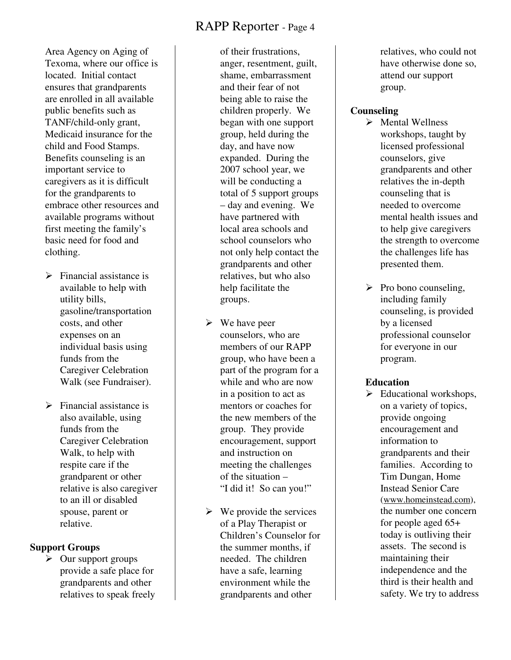Area Agency on Aging of Texoma, where our office is located. Initial contact ensures that grandparents are enrolled in all available public benefits such as TANF/child-only grant, Medicaid insurance for the child and Food Stamps. Benefits counseling is an important service to caregivers as it is difficult for the grandparents to embrace other resources and available programs without first meeting the family's basic need for food and clothing.

- > Financial assistance is available to help with utility bills, gasoline/transportation costs, and other expenses on an individual basis using funds from the Caregiver Celebration Walk (see Fundraiser).
- > Financial assistance is also available, using funds from the Caregiver Celebration Walk, to help with respite care if the grandparent or other relative is also caregiver to an ill or disabled spouse, parent or relative.

#### **Support Groups**

 $\sum$  Our support groups provide a safe place for grandparents and other relatives to speak freely of their frustrations, anger, resentment, guilt, shame, embarrassment and their fear of not being able to raise the children properly. We began with one support group, held during the day, and have now expanded. During the 2007 school year, we will be conducting a total of 5 support groups – day and evening. We have partnered with local area schools and school counselors who not only help contact the grandparents and other relatives, but who also help facilitate the groups.

- **►** We have peer counselors, who are members of our RAPP group, who have been a part of the program for a while and who are now in a position to act as mentors or coaches for the new members of the group. They provide encouragement, support and instruction on meeting the challenges of the situation – "I did it! So can you!"
- $\triangleright$  We provide the services of a Play Therapist or Children's Counselor for the summer months, if needed. The children have a safe, learning environment while the grandparents and other

relatives, who could not have otherwise done so, attend our support group.

#### **Counseling**

- > Mental Wellness workshops, taught by licensed professional counselors, give grandparents and other relatives the in-depth counseling that is needed to overcome mental health issues and to help give caregivers the strength to overcome the challenges life has presented them.
- > Pro bono counseling, including family counseling, is provided by a licensed professional counselor for everyone in our program.

#### **Education**

> Educational workshops, on a variety of topics, provide ongoing encouragement and information to grandparents and their families. According to Tim Dungan, Home Instead Senior Care (www.homeinstead.com), the number one concern for people aged 65+ today is outliving their assets. The second is maintaining their independence and the third is their health and safety. We try to address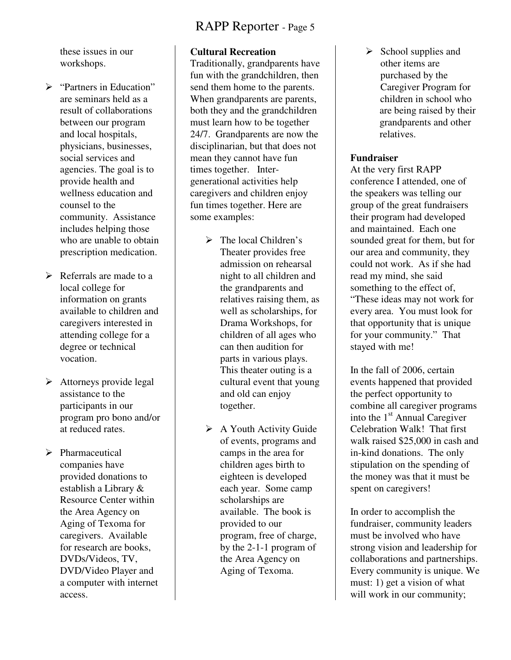these issues in our workshops.

- > "Partners in Education" are seminars held as a result of collaborations between our program and local hospitals, physicians, businesses, social services and agencies. The goal is to provide health and wellness education and counsel to the community. Assistance includes helping those who are unable to obtain prescription medication.
- > Referrals are made to a local college for information on grants available to children and caregivers interested in attending college for a degree or technical vocation.
- > Attorneys provide legal assistance to the participants in our program pro bono and/or at reduced rates.
- > Pharmaceutical companies have provided donations to establish a Library & Resource Center within the Area Agency on Aging of Texoma for caregivers. Available for research are books, DVDs/Videos, TV, DVD/Video Player and a computer with internet access.

#### **Cultural Recreation**

Traditionally, grandparents have fun with the grandchildren, then send them home to the parents. When grandparents are parents, both they and the grandchildren must learn how to be together 24/7. Grandparents are now the disciplinarian, but that does not mean they cannot have fun times together. Intergenerational activities help caregivers and children enjoy fun times together. Here are some examples:

- > The local Children's Theater provides free admission on rehearsal night to all children and the grandparents and relatives raising them, as well as scholarships, for Drama Workshops, for children of all ages who can then audition for parts in various plays. This theater outing is a cultural event that young and old can enjoy together.
- > A Youth Activity Guide of events, programs and camps in the area for children ages birth to eighteen is developed each year. Some camp scholarships are available. The book is provided to our program, free of charge, by the 2-1-1 program of the Area Agency on Aging of Texoma.

> School supplies and other items are purchased by the Caregiver Program for children in school who are being raised by their grandparents and other relatives.

#### **Fundraiser**

At the very first RAPP conference I attended, one of the speakers was telling our group of the great fundraisers their program had developed and maintained. Each one sounded great for them, but for our area and community, they could not work. As if she had read my mind, she said something to the effect of, "These ideas may not work for every area. You must look for that opportunity that is unique for your community." That stayed with me!

In the fall of 2006, certain events happened that provided the perfect opportunity to combine all caregiver programs into the 1st Annual Caregiver Celebration Walk! That first walk raised \$25,000 in cash and in-kind donations. The only stipulation on the spending of the money was that it must be spent on caregivers!

In order to accomplish the fundraiser, community leaders must be involved who have strong vision and leadership for collaborations and partnerships. Every community is unique. We must: 1) get a vision of what will work in our community;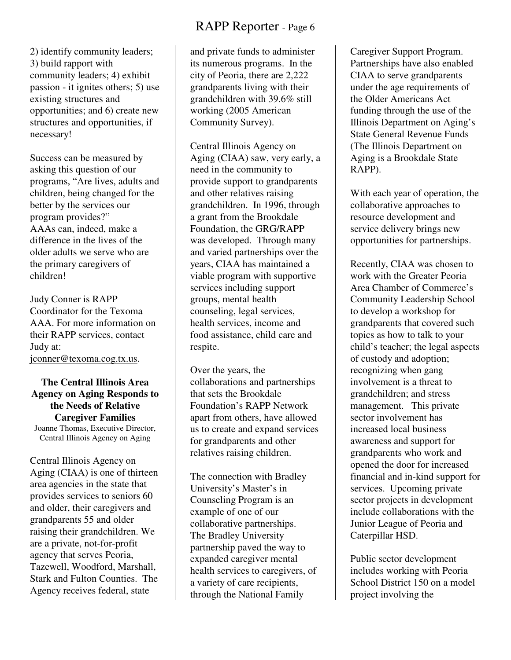2) identify community leaders; 3) build rapport with community leaders; 4) exhibit passion - it ignites others; 5) use existing structures and opportunities; and 6) create new structures and opportunities, if necessary!

Success can be measured by asking this question of our programs, "Are lives, adults and children, being changed for the better by the services our program provides?" AAAs can, indeed, make a difference in the lives of the older adults we serve who are the primary caregivers of children!

Judy Conner is RAPP Coordinator for the Texoma AAA. For more information on their RAPP services, contact Judy at: jconner@texoma.cog.tx.us.

**The Central Illinois Area Agency on Aging Responds to the Needs of Relative Caregiver Families**  Joanne Thomas, Executive Director, Central Illinois Agency on Aging

Central Illinois Agency on Aging (CIAA) is one of thirteen area agencies in the state that provides services to seniors 60 and older, their caregivers and grandparents 55 and older raising their grandchildren. We are a private, not-for-profit agency that serves Peoria, Tazewell, Woodford, Marshall, Stark and Fulton Counties. The Agency receives federal, state

and private funds to administer its numerous programs. In the city of Peoria, there are 2,222 grandparents living with their grandchildren with 39.6% still working (2005 American Community Survey).

Central Illinois Agency on Aging (CIAA) saw, very early, a need in the community to provide support to grandparents and other relatives raising grandchildren. In 1996, through a grant from the Brookdale Foundation, the GRG/RAPP was developed. Through many and varied partnerships over the years, CIAA has maintained a viable program with supportive services including support groups, mental health counseling, legal services, health services, income and food assistance, child care and respite.

Over the years, the collaborations and partnerships that sets the Brookdale Foundation's RAPP Network apart from others, have allowed us to create and expand services for grandparents and other relatives raising children.

The connection with Bradley University's Master's in Counseling Program is an example of one of our collaborative partnerships. The Bradley University partnership paved the way to expanded caregiver mental health services to caregivers, of a variety of care recipients, through the National Family

Caregiver Support Program. Partnerships have also enabled CIAA to serve grandparents under the age requirements of the Older Americans Act funding through the use of the Illinois Department on Aging's State General Revenue Funds (The Illinois Department on Aging is a Brookdale State RAPP).

With each year of operation, the collaborative approaches to resource development and service delivery brings new opportunities for partnerships.

Recently, CIAA was chosen to work with the Greater Peoria Area Chamber of Commerce's Community Leadership School to develop a workshop for grandparents that covered such topics as how to talk to your child's teacher; the legal aspects of custody and adoption; recognizing when gang involvement is a threat to grandchildren; and stress management. This private sector involvement has increased local business awareness and support for grandparents who work and opened the door for increased financial and in-kind support for services. Upcoming private sector projects in development include collaborations with the Junior League of Peoria and Caterpillar HSD.

Public sector development includes working with Peoria School District 150 on a model project involving the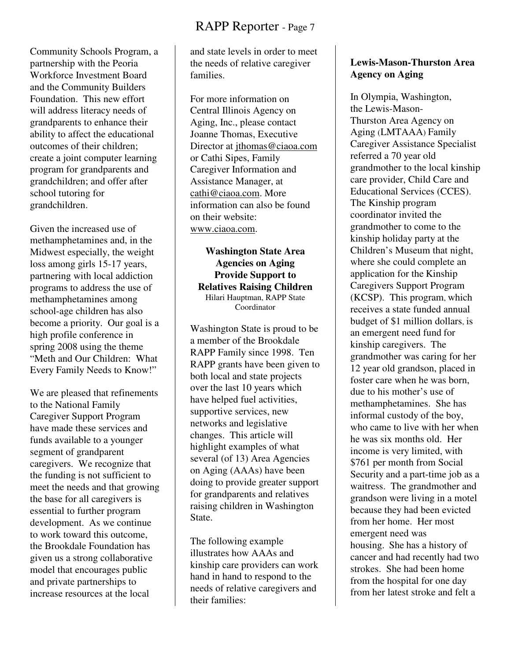Community Schools Program, a partnership with the Peoria Workforce Investment Board and the Community Builders Foundation. This new effort will address literacy needs of grandparents to enhance their ability to affect the educational outcomes of their children; create a joint computer learning program for grandparents and grandchildren; and offer after school tutoring for grandchildren.

Given the increased use of methamphetamines and, in the Midwest especially, the weight loss among girls 15-17 years, partnering with local addiction programs to address the use of methamphetamines among school-age children has also become a priority. Our goal is a high profile conference in spring 2008 using the theme "Meth and Our Children: What Every Family Needs to Know!"

We are pleased that refinements to the National Family Caregiver Support Program have made these services and funds available to a younger segment of grandparent caregivers. We recognize that the funding is not sufficient to meet the needs and that growing the base for all caregivers is essential to further program development. As we continue to work toward this outcome, the Brookdale Foundation has given us a strong collaborative model that encourages public and private partnerships to increase resources at the local

and state levels in order to meet the needs of relative caregiver families.

For more information on Central Illinois Agency on Aging, Inc., please contact Joanne Thomas, Executive Director at jthomas@ciaoa.com or Cathi Sipes, Family Caregiver Information and Assistance Manager, at cathi@ciaoa.com. More information can also be found on their website: www.ciaoa.com.

**Washington State Area Agencies on Aging Provide Support to Relatives Raising Children**  Hilari Hauptman, RAPP State Coordinator

Washington State is proud to be a member of the Brookdale RAPP Family since 1998. Ten RAPP grants have been given to both local and state projects over the last 10 years which have helped fuel activities, supportive services, new networks and legislative changes. This article will highlight examples of what several (of 13) Area Agencies on Aging (AAAs) have been doing to provide greater support for grandparents and relatives raising children in Washington State.

The following example illustrates how AAAs and kinship care providers can work hand in hand to respond to the needs of relative caregivers and their families:

#### **Lewis-Mason-Thurston Area Agency on Aging**

In Olympia, Washington, the Lewis-Mason-Thurston Area Agency on Aging (LMTAAA) Family Caregiver Assistance Specialist referred a 70 year old grandmother to the local kinship care provider, Child Care and Educational Services (CCES). The Kinship program coordinator invited the grandmother to come to the kinship holiday party at the Children's Museum that night, where she could complete an application for the Kinship Caregivers Support Program (KCSP). This program, which receives a state funded annual budget of \$1 million dollars, is an emergent need fund for kinship caregivers. The grandmother was caring for her 12 year old grandson, placed in foster care when he was born, due to his mother's use of methamphetamines. She has informal custody of the boy, who came to live with her when he was six months old. Her income is very limited, with \$761 per month from Social Security and a part-time job as a waitress. The grandmother and grandson were living in a motel because they had been evicted from her home. Her most emergent need was housing. She has a history of cancer and had recently had two strokes. She had been home from the hospital for one day from her latest stroke and felt a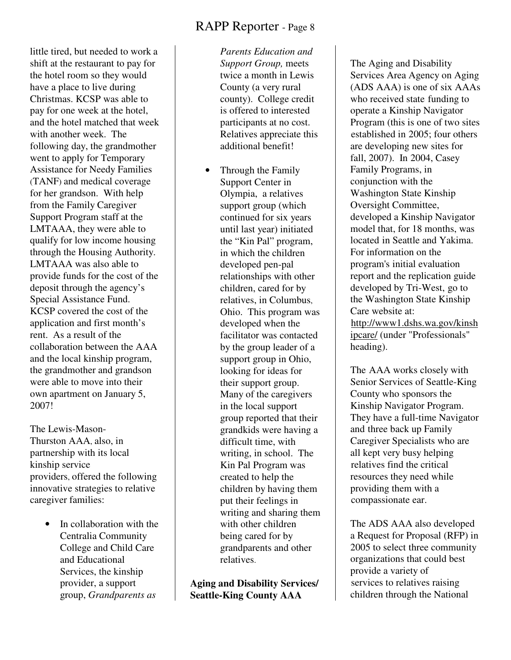little tired, but needed to work a shift at the restaurant to pay for the hotel room so they would have a place to live during Christmas. KCSP was able to pay for one week at the hotel, and the hotel matched that week with another week. The following day, the grandmother went to apply for Temporary Assistance for Needy Families (TANF) and medical coverage for her grandson. With help from the Family Caregiver Support Program staff at the LMTAAA, they were able to qualify for low income housing through the Housing Authority. LMTAAA was also able to provide funds for the cost of the deposit through the agency's Special Assistance Fund. KCSP covered the cost of the application and first month's rent. As a result of the collaboration between the AAA and the local kinship program, the grandmother and grandson were able to move into their own apartment on January 5, 2007!

The Lewis-Mason-Thurston AAA, also, in partnership with its local kinship service providers, offered the following innovative strategies to relative caregiver families:

> In collaboration with the Centralia Community College and Child Care and Educational Services, the kinship provider, a support group, *Grandparents as*

*Parents Education and Support Group,* meets twice a month in Lewis County (a very rural county). College credit is offered to interested participants at no cost. Relatives appreciate this additional benefit!

• Through the Family Support Center in Olympia, a relatives support group (which continued for six years until last year) initiated the "Kin Pal" program, in which the children developed pen-pal relationships with other children, cared for by relatives, in Columbus, Ohio. This program was developed when the facilitator was contacted by the group leader of a support group in Ohio, looking for ideas for their support group. Many of the caregivers in the local support group reported that their grandkids were having a difficult time, with writing, in school. The Kin Pal Program was created to help the children by having them put their feelings in writing and sharing them with other children being cared for by grandparents and other relatives.

**Aging and Disability Services/ Seattle-King County AAA** 

The Aging and Disability Services Area Agency on Aging (ADS AAA) is one of six AAAs who received state funding to operate a Kinship Navigator Program (this is one of two sites established in 2005; four others are developing new sites for fall, 2007). In 2004, Casey Family Programs, in conjunction with the Washington State Kinship Oversight Committee, developed a Kinship Navigator model that, for 18 months, was located in Seattle and Yakima. For information on the program's initial evaluation report and the replication guide developed by Tri-West, go to the Washington State Kinship Care website at: http://www1.dshs.wa.gov/kinsh ipcare/ (under "Professionals" heading).

The AAA works closely with Senior Services of Seattle-King County who sponsors the Kinship Navigator Program. They have a full-time Navigator and three back up Family Caregiver Specialists who are all kept very busy helping relatives find the critical resources they need while providing them with a compassionate ear.

The ADS AAA also developed a Request for Proposal (RFP) in 2005 to select three community organizations that could best provide a variety of services to relatives raising children through the National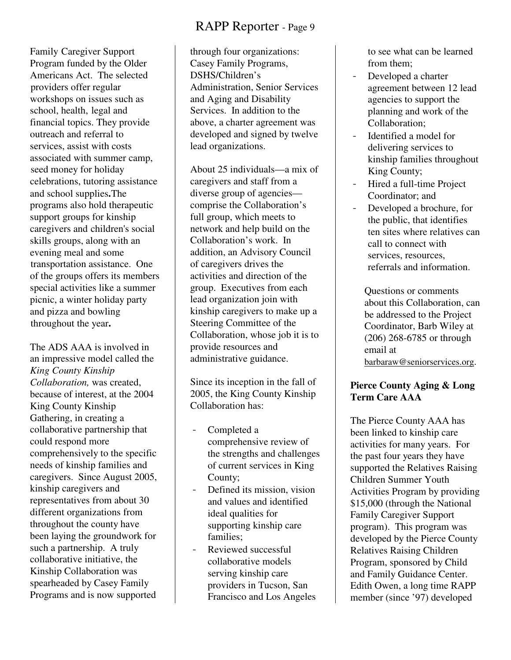Family Caregiver Support Program funded by the Older Americans Act. The selected providers offer regular workshops on issues such as school, health, legal and financial topics. They provide outreach and referral to services, assist with costs associated with summer camp, seed money for holiday celebrations, tutoring assistance and school supplies**.** The programs also hold therapeutic support groups for kinship caregivers and children's social skills groups, along with an evening meal and some transportation assistance. One of the groups offers its members special activities like a summer picnic, a winter holiday party and pizza and bowling throughout the year**.**

The ADS AAA is involved in an impressive model called the *King County Kinship Collaboration,* was created, because of interest, at the 2004 King County Kinship Gathering, in creating a collaborative partnership that could respond more comprehensively to the specific needs of kinship families and caregivers. Since August 2005, kinship caregivers and representatives from about 30 different organizations from throughout the county have been laying the groundwork for such a partnership. A truly collaborative initiative, the Kinship Collaboration was spearheaded by Casey Family Programs and is now supported

through four organizations: Casey Family Programs, DSHS/Children's Administration, Senior Services and Aging and Disability Services. In addition to the above, a charter agreement was developed and signed by twelve lead organizations.

About 25 individuals—a mix of caregivers and staff from a diverse group of agencies comprise the Collaboration's full group, which meets to network and help build on the Collaboration's work. In addition, an Advisory Council of caregivers drives the activities and direction of the group. Executives from each lead organization join with kinship caregivers to make up a Steering Committee of the Collaboration, whose job it is to provide resources and administrative guidance.

Since its inception in the fall of 2005, the King County Kinship Collaboration has:

- Completed a comprehensive review of the strengths and challenges of current services in King County;
- Defined its mission, vision and values and identified ideal qualities for supporting kinship care families;
- Reviewed successful collaborative models serving kinship care providers in Tucson, San Francisco and Los Angeles

to see what can be learned from them;

- Developed a charter agreement between 12 lead agencies to support the planning and work of the Collaboration;
- Identified a model for delivering services to kinship families throughout King County;
- Hired a full-time Project Coordinator; and
- Developed a brochure, for the public, that identifies ten sites where relatives can call to connect with services, resources, referrals and information.

Questions or comments about this Collaboration, can be addressed to the Project Coordinator, Barb Wiley at (206) 268-6785 or through email at barbaraw@seniorservices.org.

#### **Pierce County Aging & Long Term Care AAA**

The Pierce County AAA has been linked to kinship care activities for many years. For the past four years they have supported the Relatives Raising Children Summer Youth Activities Program by providing \$15,000 (through the National Family Caregiver Support program). This program was developed by the Pierce County Relatives Raising Children Program, sponsored by Child and Family Guidance Center. Edith Owen, a long time RAPP member (since '97) developed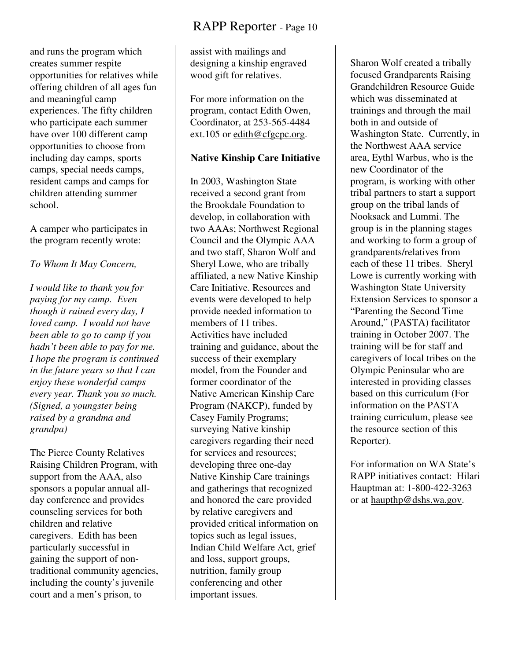and runs the program which creates summer respite opportunities for relatives while offering children of all ages fun and meaningful camp experiences. The fifty children who participate each summer have over 100 different camp opportunities to choose from including day camps, sports camps, special needs camps, resident camps and camps for children attending summer school.

A camper who participates in the program recently wrote:

#### *To Whom It May Concern,*

*I would like to thank you for paying for my camp. Even though it rained every day, I loved camp. I would not have been able to go to camp if you hadn't been able to pay for me. I hope the program is continued in the future years so that I can enjoy these wonderful camps every year. Thank you so much. (Signed, a youngster being raised by a grandma and grandpa)* 

The Pierce County Relatives Raising Children Program, with support from the AAA, also sponsors a popular annual allday conference and provides counseling services for both children and relative caregivers. Edith has been particularly successful in gaining the support of nontraditional community agencies, including the county's juvenile court and a men's prison, to

assist with mailings and designing a kinship engraved wood gift for relatives.

For more information on the program, contact Edith Owen, Coordinator, at 253-565-4484 ext.105 or edith@cfgcpc.org.

#### **Native Kinship Care Initiative**

In 2003, Washington State received a second grant from the Brookdale Foundation to develop, in collaboration with two AAAs; Northwest Regional Council and the Olympic AAA and two staff, Sharon Wolf and Sheryl Lowe, who are tribally affiliated, a new Native Kinship Care Initiative. Resources and events were developed to help provide needed information to members of 11 tribes. Activities have included training and guidance, about the success of their exemplary model, from the Founder and former coordinator of the Native American Kinship Care Program (NAKCP), funded by Casey Family Programs; surveying Native kinship caregivers regarding their need for services and resources; developing three one-day Native Kinship Care trainings and gatherings that recognized and honored the care provided by relative caregivers and provided critical information on topics such as legal issues, Indian Child Welfare Act, grief and loss, support groups, nutrition, family group conferencing and other important issues.

Sharon Wolf created a tribally focused Grandparents Raising Grandchildren Resource Guide which was disseminated at trainings and through the mail both in and outside of Washington State. Currently, in the Northwest AAA service area, Eythl Warbus, who is the new Coordinator of the program, is working with other tribal partners to start a support group on the tribal lands of Nooksack and Lummi. The group is in the planning stages and working to form a group of grandparents/relatives from each of these 11 tribes. Sheryl Lowe is currently working with Washington State University Extension Services to sponsor a "Parenting the Second Time Around," (PASTA) facilitator training in October 2007. The training will be for staff and caregivers of local tribes on the Olympic Peninsular who are interested in providing classes based on this curriculum (For information on the PASTA training curriculum, please see the resource section of this Reporter).

For information on WA State's RAPP initiatives contact: Hilari Hauptman at: 1-800-422-3263 or at haupthp@dshs.wa.gov.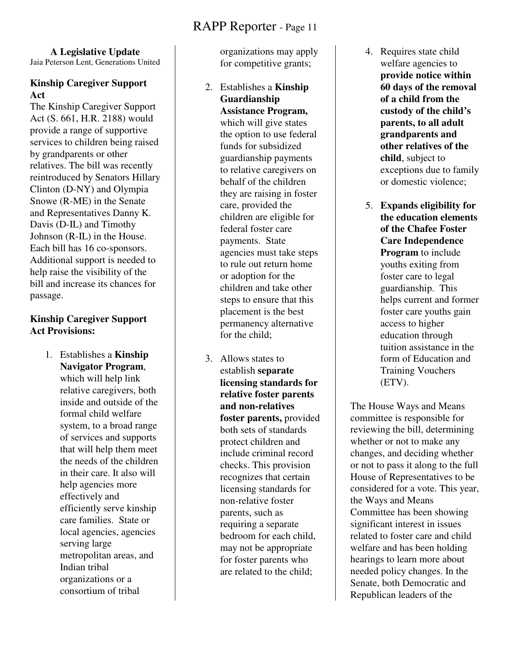#### **A Legislative Update**

Jaia Peterson Lent, Generations United

#### **Kinship Caregiver Support Act**

The Kinship Caregiver Support Act (S. 661, H.R. 2188) would provide a range of supportive services to children being raised by grandparents or other relatives. The bill was recently reintroduced by Senators Hillary Clinton (D-NY) and Olympia Snowe (R-ME) in the Senate and Representatives Danny K. Davis (D-IL) and Timothy Johnson (R-IL) in the House. Each bill has 16 co-sponsors. Additional support is needed to help raise the visibility of the bill and increase its chances for passage.

#### **Kinship Caregiver Support Act Provisions:**

1. Establishes a **Kinship Navigator Program**, which will help link relative caregivers, both inside and outside of the formal child welfare system, to a broad range of services and supports that will help them meet the needs of the children in their care. It also will help agencies more effectively and efficiently serve kinship care families. State or local agencies, agencies serving large metropolitan areas, and Indian tribal organizations or a consortium of tribal

organizations may apply for competitive grants;

- 2. Establishes a **Kinship Guardianship Assistance Program,**  which will give states the option to use federal funds for subsidized guardianship payments to relative caregivers on behalf of the children they are raising in foster care, provided the children are eligible for federal foster care payments. State agencies must take steps to rule out return home or adoption for the children and take other steps to ensure that this placement is the best permanency alternative for the child;
- 3. Allows states to establish **separate licensing standards for relative foster parents and non-relatives foster parents,** provided both sets of standards protect children and include criminal record checks. This provision recognizes that certain licensing standards for non-relative foster parents, such as requiring a separate bedroom for each child, may not be appropriate for foster parents who are related to the child;
- 4. Requires state child welfare agencies to **provide notice within 60 days of the removal of a child from the custody of the child's parents, to all adult grandparents and other relatives of the child**, subject to exceptions due to family or domestic violence;
- 5. **Expands eligibility for the education elements of the Chafee Foster Care Independence Program** to include youths exiting from foster care to legal guardianship. This helps current and former foster care youths gain access to higher education through tuition assistance in the form of Education and Training Vouchers (ETV).

The House Ways and Means committee is responsible for reviewing the bill, determining whether or not to make any changes, and deciding whether or not to pass it along to the full House of Representatives to be considered for a vote. This year, the Ways and Means Committee has been showing significant interest in issues related to foster care and child welfare and has been holding hearings to learn more about needed policy changes. In the Senate, both Democratic and Republican leaders of the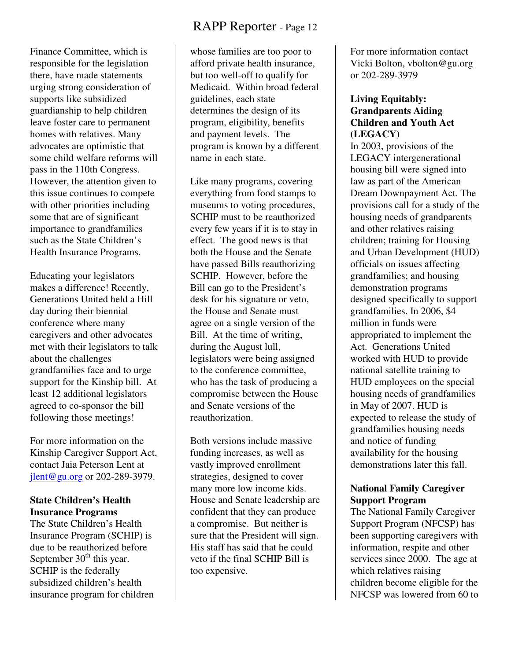Finance Committee, which is responsible for the legislation there, have made statements urging strong consideration of supports like subsidized guardianship to help children leave foster care to permanent homes with relatives. Many advocates are optimistic that some child welfare reforms will pass in the 110th Congress. However, the attention given to this issue continues to compete with other priorities including some that are of significant importance to grandfamilies such as the State Children's Health Insurance Programs.

Educating your legislators makes a difference! Recently, Generations United held a Hill day during their biennial conference where many caregivers and other advocates met with their legislators to talk about the challenges grandfamilies face and to urge support for the Kinship bill. At least 12 additional legislators agreed to co-sponsor the bill following those meetings!

For more information on the Kinship Caregiver Support Act, contact Jaia Peterson Lent at jlent@gu.org or 202-289-3979.

#### **State Children's Health Insurance Programs**

The State Children's Health Insurance Program (SCHIP) is due to be reauthorized before September  $30<sup>th</sup>$  this year. SCHIP is the federally subsidized children's health insurance program for children

whose families are too poor to afford private health insurance, but too well-off to qualify for Medicaid. Within broad federal guidelines, each state determines the design of its program, eligibility, benefits and payment levels. The program is known by a different name in each state.

Like many programs, covering everything from food stamps to museums to voting procedures, SCHIP must to be reauthorized every few years if it is to stay in effect. The good news is that both the House and the Senate have passed Bills reauthorizing SCHIP. However, before the Bill can go to the President's desk for his signature or veto, the House and Senate must agree on a single version of the Bill. At the time of writing, during the August lull, legislators were being assigned to the conference committee, who has the task of producing a compromise between the House and Senate versions of the reauthorization.

Both versions include massive funding increases, as well as vastly improved enrollment strategies, designed to cover many more low income kids. House and Senate leadership are confident that they can produce a compromise. But neither is sure that the President will sign. His staff has said that he could veto if the final SCHIP Bill is too expensive.

For more information contact Vicki Bolton, vbolton@gu.org or 202-289-3979

#### **Living Equitably: Grandparents Aiding Children and Youth Act (LEGACY)**

In 2003, provisions of the LEGACY intergenerational housing bill were signed into law as part of the American Dream Downpayment Act. The provisions call for a study of the housing needs of grandparents and other relatives raising children; training for Housing and Urban Development (HUD) officials on issues affecting grandfamilies; and housing demonstration programs designed specifically to support grandfamilies. In 2006, \$4 million in funds were appropriated to implement the Act. Generations United worked with HUD to provide national satellite training to HUD employees on the special housing needs of grandfamilies in May of 2007. HUD is expected to release the study of grandfamilies housing needs and notice of funding availability for the housing demonstrations later this fall.

#### **National Family Caregiver Support Program**

The National Family Caregiver Support Program (NFCSP) has been supporting caregivers with information, respite and other services since 2000. The age at which relatives raising children become eligible for the NFCSP was lowered from 60 to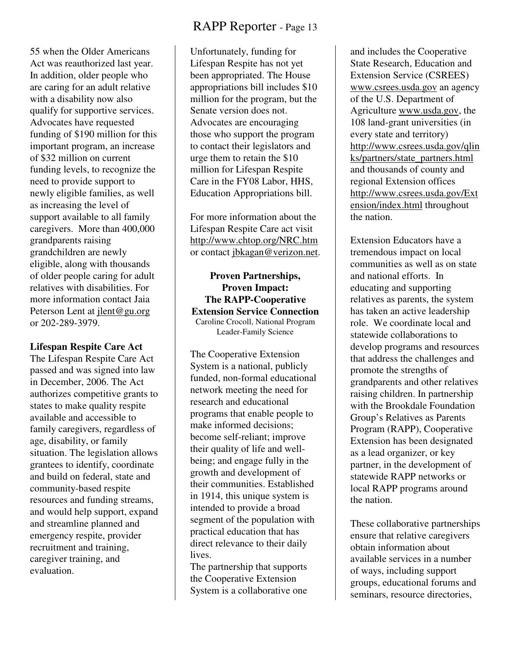55 when the Older Americans Act was reauthorized last year. In addition, older people who are caring for an adult relative with a disability now also qualify for supportive services. Advocates have requested funding of \$190 million for this important program, an increase of \$32 million on current funding levels, to recognize the need to provide support to newly eligible families, as well as increasing the level of support available to all family caregivers. More than 400,000 grandparents raising grandchildren are newly eligible, along with thousands of older people caring for adult relatives with disabilities. For more information contact Jaia Peterson Lent at jlent@gu.org or 202-289-3979.

#### **Lifespan Respite Care Act**

The Lifespan Respite Care Act passed and was signed into law in December, 2006. The Act authorizes competitive grants to states to make quality respite available and accessible to family caregivers, regardless of age, disability, or family situation. The legislation allows grantees to identify, coordinate and build on federal, state and community-based respite resources and funding streams, and would help support, expand and streamline planned and emergency respite, provider recruitment and training, caregiver training, and evaluation.

Unfortunately, funding for Lifespan Respite has not yet been appropriated. The House appropriations bill includes \$10 million for the program, but the Senate version does not. Advocates are encouraging those who support the program to contact their legislators and urge them to retain the \$10 million for Lifespan Respite Care in the FY08 Labor, HHS, Education Appropriations bill.

For more information about the Lifespan Respite Care act visit http://www.chtop.org/NRC.htm or contact jbkagan@verizon.net.

**Proven Partnerships, Proven Impact: The RAPP-Cooperative Extension Service Connection**  Caroline Crocoll, National Program Leader-Family Science

The Cooperative Extension System is a national, publicly funded, non-formal educational network meeting the need for research and educational programs that enable people to make informed decisions; become self-reliant; improve their quality of life and wellbeing; and engage fully in the growth and development of their communities. Established in 1914, this unique system is intended to provide a broad segment of the population with practical education that has direct relevance to their daily lives.

The partnership that supports the Cooperative Extension System is a collaborative one

and includes the Cooperative State Research, Education and Extension Service (CSREES) www.csrees.usda.gov an agency of the U.S. Department of Agriculture www.usda.gov, the 108 land-grant universities (in every state and territory) http://www.csrees.usda.gov/qlin ks/partners/state\_partners.html and thousands of county and regional Extension offices http://www.csrees.usda.gov/Ext ension/index.html throughout the nation.

Extension Educators have a tremendous impact on local communities as well as on state and national efforts. In educating and supporting relatives as parents, the system has taken an active leadership role. We coordinate local and statewide collaborations to develop programs and resources that address the challenges and promote the strengths of grandparents and other relatives raising children. In partnership with the Brookdale Foundation Group's Relatives as Parents Program (RAPP), Cooperative Extension has been designated as a lead organizer, or key partner, in the development of statewide RAPP networks or local RAPP programs around the nation.

These collaborative partnerships ensure that relative caregivers obtain information about available services in a number of ways, including support groups, educational forums and seminars, resource directories,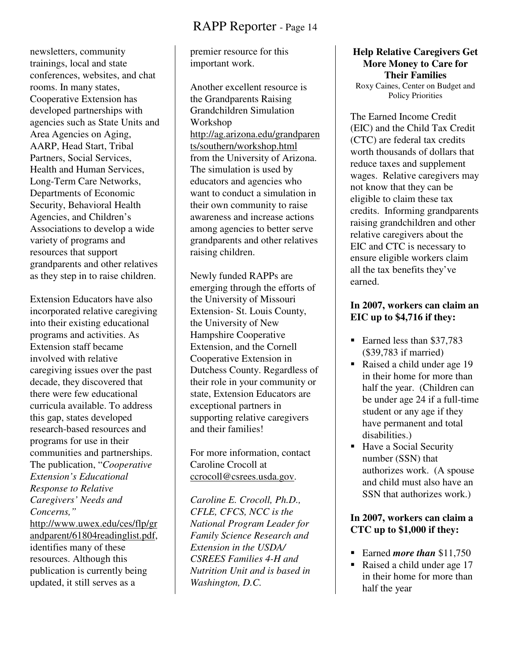newsletters, community trainings, local and state conferences, websites, and chat rooms. In many states, Cooperative Extension has developed partnerships with agencies such as State Units and Area Agencies on Aging, AARP, Head Start, Tribal Partners, Social Services, Health and Human Services, Long-Term Care Networks, Departments of Economic Security, Behavioral Health Agencies, and Children's Associations to develop a wide variety of programs and resources that support grandparents and other relatives as they step in to raise children.

Extension Educators have also incorporated relative caregiving into their existing educational programs and activities. As Extension staff became involved with relative caregiving issues over the past decade, they discovered that there were few educational curricula available. To address this gap, states developed research-based resources and programs for use in their communities and partnerships. The publication, "*Cooperative Extension's Educational Response to Relative Caregivers' Needs and Concerns,"* http://www.uwex.edu/ces/flp/gr andparent/61804readinglist.pdf, identifies many of these resources. Although this publication is currently being updated, it still serves as a

premier resource for this important work.

Another excellent resource is the Grandparents Raising Grandchildren Simulation Workshop http://ag.arizona.edu/grandparen ts/southern/workshop.html from the University of Arizona. The simulation is used by educators and agencies who want to conduct a simulation in their own community to raise awareness and increase actions among agencies to better serve grandparents and other relatives raising children.

Newly funded RAPPs are emerging through the efforts of the University of Missouri Extension- St. Louis County, the University of New Hampshire Cooperative Extension, and the Cornell Cooperative Extension in Dutchess County. Regardless of their role in your community or state, Extension Educators are exceptional partners in supporting relative caregivers and their families!

For more information, contact Caroline Crocoll at ccrocoll@csrees.usda.gov.

*Caroline E. Crocoll, Ph.D., CFLE, CFCS, NCC is the National Program Leader for Family Science Research and Extension in the USDA/ CSREES Families 4-H and Nutrition Unit and is based in Washington, D.C.*

**Help Relative Caregivers Get More Money to Care for Their Families**  Roxy Caines, Center on Budget and Policy Priorities

The Earned Income Credit (EIC) and the Child Tax Credit (CTC) are federal tax credits worth thousands of dollars that reduce taxes and supplement wages. Relative caregivers may not know that they can be eligible to claim these tax credits. Informing grandparents raising grandchildren and other relative caregivers about the EIC and CTC is necessary to ensure eligible workers claim all the tax benefits they've earned.

#### **In 2007, workers can claim an EIC up to \$4,716 if they:**

- Earned less than \$37,783 (\$39,783 if married)
- Raised a child under age 19 in their home for more than half the year. (Children can be under age 24 if a full-time student or any age if they have permanent and total disabilities.)
- Have a Social Security number (SSN) that authorizes work. (A spouse and child must also have an SSN that authorizes work.)

#### **In 2007, workers can claim a CTC up to \$1,000 if they:**

- **Earned** *more than* \$11,750
- Raised a child under age 17 in their home for more than half the year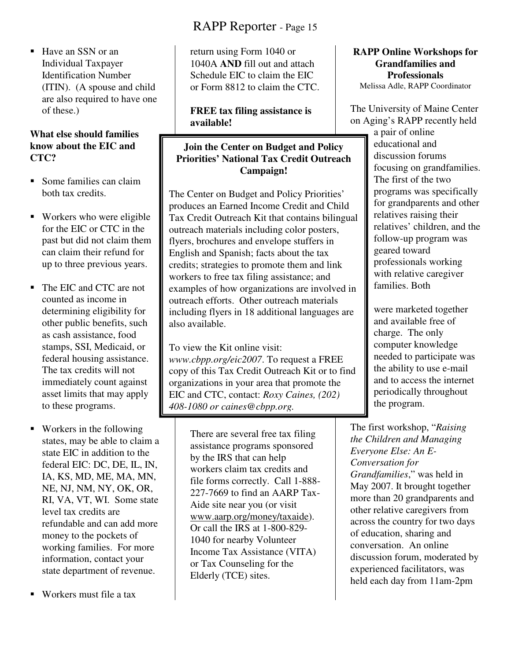■ Have an SSN or an Individual Taxpayer Identification Number (ITIN). (A spouse and child are also required to have one of these.)

#### **What else should families know about the EIC and CTC?**

- **Some families can claim** both tax credits.
- Workers who were eligible for the EIC or CTC in the past but did not claim them can claim their refund for up to three previous years.
- The EIC and CTC are not counted as income in determining eligibility for other public benefits, such as cash assistance, food stamps, SSI, Medicaid, or federal housing assistance. The tax credits will not immediately count against asset limits that may apply to these programs.
- Workers in the following states, may be able to claim a state EIC in addition to the federal EIC: DC, DE, IL, IN, IA, KS, MD, ME, MA, MN, NE, NJ, NM, NY, OK, OR, RI, VA, VT, WI. Some state level tax credits are refundable and can add more money to the pockets of working families. For more information, contact your state department of revenue.
- Workers must file a tax

# RAPP Reporter - Page 15

return using Form 1040 or 1040A **AND** fill out and attach Schedule EIC to claim the EIC or Form 8812 to claim the CTC.

#### **FREE tax filing assistance is available!**

#### **Join the Center on Budget and Policy Priorities' National Tax Credit Outreach Campaign!**

The Center on Budget and Policy Priorities' produces an Earned Income Credit and Child Tax Credit Outreach Kit that contains bilingual outreach materials including color posters, flyers, brochures and envelope stuffers in English and Spanish; facts about the tax credits; strategies to promote them and link workers to free tax filing assistance; and examples of how organizations are involved in outreach efforts. Other outreach materials including flyers in 18 additional languages are also available.

To view the Kit online visit: *www.cbpp.org/eic2007*. To request a FREE copy of this Tax Credit Outreach Kit or to find organizations in your area that promote the EIC and CTC, contact: *Roxy Caines, (202) 408-1080 or caines@cbpp.org.* 

> There are several free tax filing assistance programs sponsored by the IRS that can help workers claim tax credits and file forms correctly. Call 1-888- 227-7669 to find an AARP Tax-Aide site near you (or visit www.aarp.org/money/taxaide). Or call the IRS at 1-800-829- 1040 for nearby Volunteer Income Tax Assistance (VITA) or Tax Counseling for the Elderly (TCE) sites.

#### **RAPP Online Workshops for Grandfamilies and Professionals**  Melissa Adle, RAPP Coordinator

The University of Maine Center on Aging's RAPP recently held

a pair of online educational and discussion forums focusing on grandfamilies. The first of the two programs was specifically for grandparents and other relatives raising their relatives' children, and the follow-up program was geared toward professionals working with relative caregiver families. Both

were marketed together and available free of charge. The only computer knowledge needed to participate was the ability to use e-mail and to access the internet periodically throughout the program.

The first workshop, "*Raising the Children and Managing Everyone Else: An E-Conversation for Grandfamilies*," was held in May 2007. It brought together more than 20 grandparents and other relative caregivers from across the country for two days of education, sharing and conversation. An online discussion forum, moderated by experienced facilitators, was held each day from 11am-2pm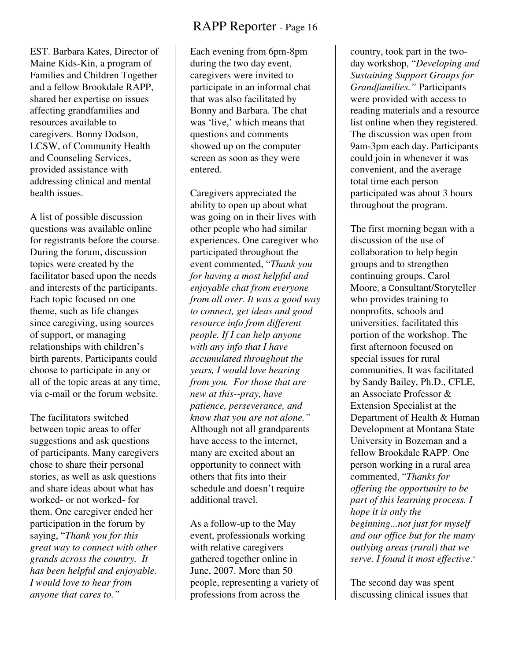EST. Barbara Kates, Director of Maine Kids-Kin, a program of Families and Children Together and a fellow Brookdale RAPP, shared her expertise on issues affecting grandfamilies and resources available to caregivers. Bonny Dodson, LCSW, of Community Health and Counseling Services, provided assistance with addressing clinical and mental health issues.

A list of possible discussion questions was available online for registrants before the course. During the forum, discussion topics were created by the facilitator based upon the needs and interests of the participants. Each topic focused on one theme, such as life changes since caregiving, using sources of support, or managing relationships with children's birth parents. Participants could choose to participate in any or all of the topic areas at any time, via e-mail or the forum website.

The facilitators switched between topic areas to offer suggestions and ask questions of participants. Many caregivers chose to share their personal stories, as well as ask questions and share ideas about what has worked- or not worked- for them. One caregiver ended her participation in the forum by saying, "*Thank you for this great way to connect with other grands across the country. It has been helpful and enjoyable. I would love to hear from anyone that cares to."* 

Each evening from 6pm-8pm during the two day event, caregivers were invited to participate in an informal chat that was also facilitated by Bonny and Barbara. The chat was 'live,' which means that questions and comments showed up on the computer screen as soon as they were entered.

Caregivers appreciated the ability to open up about what was going on in their lives with other people who had similar experiences. One caregiver who participated throughout the event commented, "*Thank you for having a most helpful and enjoyable chat from everyone from all over. It was a good way to connect, get ideas and good resource info from different people. If I can help anyone with any info that I have accumulated throughout the years, I would love hearing from you. For those that are new at this--pray, have patience, perseverance, and know that you are not alone."*  Although not all grandparents have access to the internet, many are excited about an opportunity to connect with others that fits into their schedule and doesn't require additional travel.

As a follow-up to the May event, professionals working with relative caregivers gathered together online in June, 2007. More than 50 people, representing a variety of professions from across the

country, took part in the twoday workshop, "*Developing and Sustaining Support Groups for Grandfamilies."* Participants were provided with access to reading materials and a resource list online when they registered. The discussion was open from 9am-3pm each day. Participants could join in whenever it was convenient, and the average total time each person participated was about 3 hours throughout the program.

The first morning began with a discussion of the use of collaboration to help begin groups and to strengthen continuing groups. Carol Moore, a Consultant/Storyteller who provides training to nonprofits, schools and universities, facilitated this portion of the workshop. The first afternoon focused on special issues for rural communities. It was facilitated by Sandy Bailey, Ph.D., CFLE, an Associate Professor & Extension Specialist at the Department of Health & Human Development at Montana State University in Bozeman and a fellow Brookdale RAPP. One person working in a rural area commented, "*Thanks for offering the opportunity to be part of this learning process. I hope it is only the beginning...not just for myself and our office but for the many outlying areas (rural) that we serve. I found it most effective*."

The second day was spent discussing clinical issues that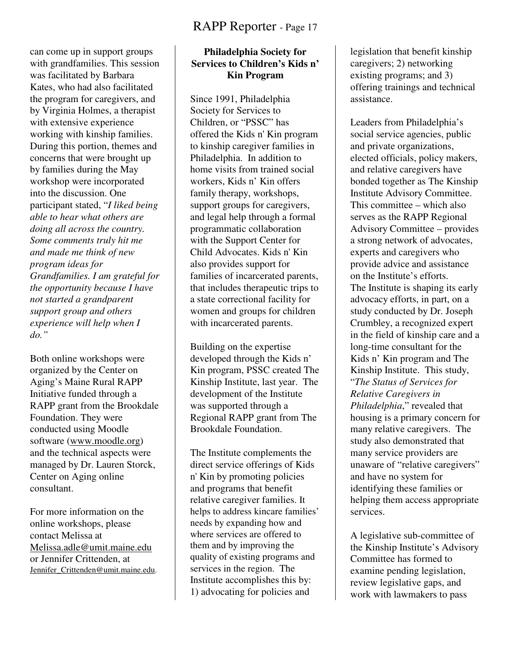#### can come up in support groups with grandfamilies. This session was facilitated by Barbara Kates, who had also facilitated the program for caregivers, and by Virginia Holmes, a therapist with extensive experience working with kinship families. During this portion, themes and concerns that were brought up by families during the May workshop were incorporated into the discussion. One participant stated, "*I liked being able to hear what others are doing all across the country. Some comments truly hit me and made me think of new program ideas for Grandfamilies. I am grateful for the opportunity because I have not started a grandparent support group and others experience will help when I do."*

Both online workshops were organized by the Center on Aging's Maine Rural RAPP Initiative funded through a RAPP grant from the Brookdale Foundation. They were conducted using Moodle software (www.moodle.org) and the technical aspects were managed by Dr. Lauren Storck, Center on Aging online consultant.

For more information on the online workshops, please contact Melissa at Melissa.adle@umit.maine.edu or Jennifer Crittenden, at Jennifer\_Crittenden@umit.maine.edu.

#### **Philadelphia Society for Services to Children's Kids n' Kin Program**

Since 1991, Philadelphia Society for Services to Children, or "PSSC" has offered the Kids n' Kin program to kinship caregiver families in Philadelphia. In addition to home visits from trained social workers, Kids n' Kin offers family therapy, workshops, support groups for caregivers, and legal help through a formal programmatic collaboration with the Support Center for Child Advocates. Kids n' Kin also provides support for families of incarcerated parents, that includes therapeutic trips to a state correctional facility for women and groups for children with incarcerated parents.

Building on the expertise developed through the Kids n' Kin program, PSSC created The Kinship Institute, last year. The development of the Institute was supported through a Regional RAPP grant from The Brookdale Foundation.

The Institute complements the direct service offerings of Kids n' Kin by promoting policies and programs that benefit relative caregiver families. It helps to address kincare families' needs by expanding how and where services are offered to them and by improving the quality of existing programs and services in the region. The Institute accomplishes this by: 1) advocating for policies and

legislation that benefit kinship caregivers; 2) networking existing programs; and 3) offering trainings and technical assistance.

Leaders from Philadelphia's social service agencies, public and private organizations, elected officials, policy makers, and relative caregivers have bonded together as The Kinship Institute Advisory Committee. This committee – which also serves as the RAPP Regional Advisory Committee – provides a strong network of advocates, experts and caregivers who provide advice and assistance on the Institute's efforts. The Institute is shaping its early advocacy efforts, in part, on a study conducted by Dr. Joseph Crumbley, a recognized expert in the field of kinship care and a long-time consultant for the Kids n' Kin program and The Kinship Institute. This study, "*The Status of Services for Relative Caregivers in Philadelphia*," revealed that housing is a primary concern for many relative caregivers. The study also demonstrated that many service providers are unaware of "relative caregivers" and have no system for identifying these families or helping them access appropriate services.

A legislative sub-committee of the Kinship Institute's Advisory Committee has formed to examine pending legislation, review legislative gaps, and work with lawmakers to pass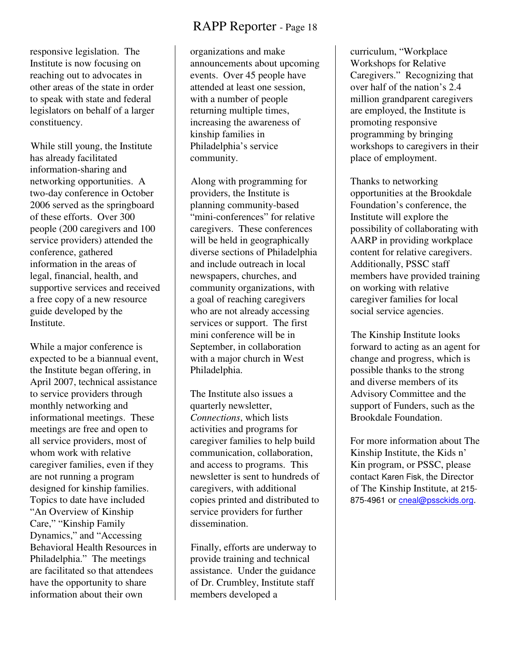responsive legislation. The Institute is now focusing on reaching out to advocates in other areas of the state in order to speak with state and federal legislators on behalf of a larger constituency.

 While still young, the Institute has already facilitated information-sharing and networking opportunities. A two-day conference in October 2006 served as the springboard of these efforts. Over 300 people (200 caregivers and 100 service providers) attended the conference, gathered information in the areas of legal, financial, health, and supportive services and received a free copy of a new resource guide developed by the Institute.

While a major conference is expected to be a biannual event, the Institute began offering, in April 2007, technical assistance to service providers through monthly networking and informational meetings. These meetings are free and open to all service providers, most of whom work with relative caregiver families, even if they are not running a program designed for kinship families. Topics to date have included "An Overview of Kinship Care," "Kinship Family Dynamics," and "Accessing Behavioral Health Resources in Philadelphia." The meetings are facilitated so that attendees have the opportunity to share information about their own

# RAPP Reporter - Page 18

organizations and make announcements about upcoming events. Over 45 people have attended at least one session, with a number of people returning multiple times, increasing the awareness of kinship families in Philadelphia's service community.

 Along with programming for providers, the Institute is planning community-based "mini-conferences" for relative caregivers. These conferences will be held in geographically diverse sections of Philadelphia and include outreach in local newspapers, churches, and community organizations, with a goal of reaching caregivers who are not already accessing services or support. The first mini conference will be in September, in collaboration with a major church in West Philadelphia.

The Institute also issues a quarterly newsletter, *Connections*, which lists activities and programs for caregiver families to help build communication, collaboration, and access to programs. This newsletter is sent to hundreds of caregivers, with additional copies printed and distributed to service providers for further dissemination.

 Finally, efforts are underway to provide training and technical assistance. Under the guidance of Dr. Crumbley, Institute staff members developed a

curriculum, "Workplace Workshops for Relative Caregivers." Recognizing that over half of the nation's 2.4 million grandparent caregivers are employed, the Institute is promoting responsive programming by bringing workshops to caregivers in their place of employment.

Thanks to networking opportunities at the Brookdale Foundation's conference, the Institute will explore the possibility of collaborating with AARP in providing workplace content for relative caregivers. Additionally, PSSC staff members have provided training on working with relative caregiver families for local social service agencies.

 The Kinship Institute looks forward to acting as an agent for change and progress, which is possible thanks to the strong and diverse members of its Advisory Committee and the support of Funders, such as the Brookdale Foundation.

For more information about The Kinship Institute, the Kids n' Kin program, or PSSC, please contact Karen Fisk, the Director of The Kinship Institute, at 215- 875-4961 or cneal@pssckids.org.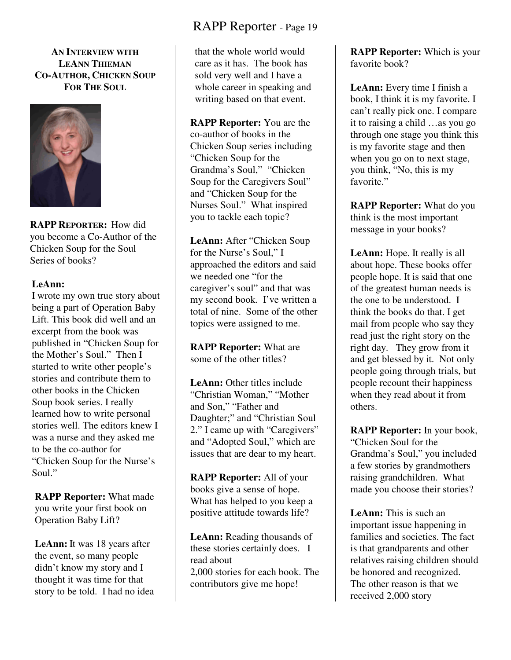**AN INTERVIEW WITH LEANN THIEMAN CO-AUTHOR, CHICKEN SOUP FOR THE SOUL** 



**RAPP REPORTER:** How did you become a Co-Author of the Chicken Soup for the Soul Series of books?

#### **LeAnn:**

I wrote my own true story about being a part of Operation Baby Lift. This book did well and an excerpt from the book was published in "Chicken Soup for the Mother's Soul." Then I started to write other people's stories and contribute them to other books in the Chicken Soup book series. I really learned how to write personal stories well. The editors knew I was a nurse and they asked me to be the co-author for "Chicken Soup for the Nurse's Soul."

**RAPP Reporter:** What made you write your first book on Operation Baby Lift?

**LeAnn:** It was 18 years after the event, so many people didn't know my story and I thought it was time for that story to be told. I had no idea

# RAPP Reporter - Page 19

that the whole world would care as it has. The book has sold very well and I have a whole career in speaking and writing based on that event.

**RAPP Reporter:** You are the co-author of books in the Chicken Soup series including "Chicken Soup for the Grandma's Soul," "Chicken Soup for the Caregivers Soul" and "Chicken Soup for the Nurses Soul." What inspired you to tackle each topic?

**LeAnn:** After "Chicken Soup for the Nurse's Soul," I approached the editors and said we needed one "for the caregiver's soul" and that was my second book. I've written a total of nine. Some of the other topics were assigned to me.

**RAPP Reporter:** What are some of the other titles?

**LeAnn:** Other titles include "Christian Woman," "Mother and Son," "Father and Daughter;" and "Christian Soul 2." I came up with "Caregivers" and "Adopted Soul," which are issues that are dear to my heart.

**RAPP Reporter:** All of your books give a sense of hope. What has helped to you keep a positive attitude towards life?

**LeAnn:** Reading thousands of these stories certainly does. I read about 2,000 stories for each book. The contributors give me hope!

**RAPP Reporter:** Which is your favorite book?

LeAnn: Every time I finish a book, I think it is my favorite. I can't really pick one. I compare it to raising a child …as you go through one stage you think this is my favorite stage and then when you go on to next stage, you think, "No, this is my favorite."

**RAPP Reporter:** What do you think is the most important message in your books?

**LeAnn:** Hope. It really is all about hope. These books offer people hope. It is said that one of the greatest human needs is the one to be understood. I think the books do that. I get mail from people who say they read just the right story on the right day. They grow from it and get blessed by it. Not only people going through trials, but people recount their happiness when they read about it from others.

**RAPP Reporter:** In your book, "Chicken Soul for the Grandma's Soul," you included a few stories by grandmothers raising grandchildren. What made you choose their stories?

**LeAnn:** This is such an important issue happening in families and societies. The fact is that grandparents and other relatives raising children should be honored and recognized. The other reason is that we received 2,000 story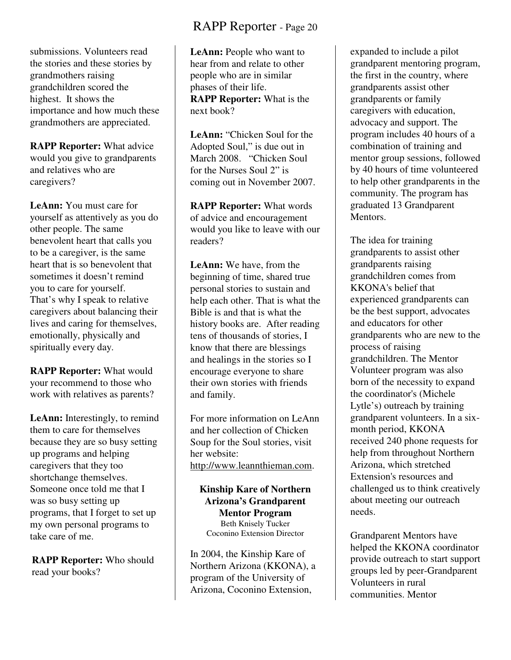submissions. Volunteers read the stories and these stories by grandmothers raising grandchildren scored the highest. It shows the importance and how much these grandmothers are appreciated.

**RAPP Reporter:** What advice would you give to grandparents and relatives who are caregivers?

**LeAnn:** You must care for yourself as attentively as you do other people. The same benevolent heart that calls you to be a caregiver, is the same heart that is so benevolent that sometimes it doesn't remind you to care for yourself. That's why I speak to relative caregivers about balancing their lives and caring for themselves, emotionally, physically and spiritually every day.

**RAPP Reporter:** What would your recommend to those who work with relatives as parents?

LeAnn: Interestingly, to remind them to care for themselves because they are so busy setting up programs and helping caregivers that they too shortchange themselves. Someone once told me that I was so busy setting up programs, that I forget to set up my own personal programs to take care of me.

**RAPP Reporter:** Who should read your books?

LeAnn: People who want to hear from and relate to other people who are in similar phases of their life. **RAPP Reporter:** What is the next book?

**LeAnn:** "Chicken Soul for the Adopted Soul," is due out in March 2008. "Chicken Soul for the Nurses Soul 2" is coming out in November 2007.

**RAPP Reporter:** What words of advice and encouragement would you like to leave with our readers?

**LeAnn:** We have, from the beginning of time, shared true personal stories to sustain and help each other. That is what the Bible is and that is what the history books are. After reading tens of thousands of stories, I know that there are blessings and healings in the stories so I encourage everyone to share their own stories with friends and family.

For more information on LeAnn and her collection of Chicken Soup for the Soul stories, visit her website: http://www.leannthieman.com.

**Kinship Kare of Northern Arizona's Grandparent Mentor Program**

Beth Knisely Tucker Coconino Extension Director

In 2004, the Kinship Kare of Northern Arizona (KKONA), a program of the University of Arizona, Coconino Extension,

expanded to include a pilot grandparent mentoring program, the first in the country, where grandparents assist other grandparents or family caregivers with education, advocacy and support. The program includes 40 hours of a combination of training and mentor group sessions, followed by 40 hours of time volunteered to help other grandparents in the community. The program has graduated 13 Grandparent Mentors.

The idea for training grandparents to assist other grandparents raising grandchildren comes from KKONA's belief that experienced grandparents can be the best support, advocates and educators for other grandparents who are new to the process of raising grandchildren. The Mentor Volunteer program was also born of the necessity to expand the coordinator's (Michele Lytle's) outreach by training grandparent volunteers. In a sixmonth period, KKONA received 240 phone requests for help from throughout Northern Arizona, which stretched Extension's resources and challenged us to think creatively about meeting our outreach needs.

Grandparent Mentors have helped the KKONA coordinator provide outreach to start support groups led by peer-Grandparent Volunteers in rural communities. Mentor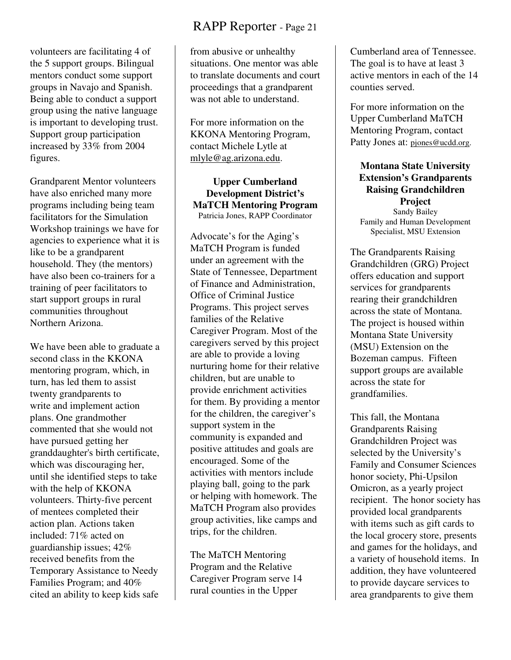volunteers are facilitating 4 of the 5 support groups. Bilingual mentors conduct some support groups in Navajo and Spanish. Being able to conduct a support group using the native language is important to developing trust. Support group participation increased by 33% from 2004 figures.

Grandparent Mentor volunteers have also enriched many more programs including being team facilitators for the Simulation Workshop trainings we have for agencies to experience what it is like to be a grandparent household. They (the mentors) have also been co-trainers for a training of peer facilitators to start support groups in rural communities throughout Northern Arizona.

We have been able to graduate a second class in the KKONA mentoring program, which, in turn, has led them to assist twenty grandparents to write and implement action plans. One grandmother commented that she would not have pursued getting her granddaughter's birth certificate, which was discouraging her, until she identified steps to take with the help of KKONA volunteers. Thirty-five percent of mentees completed their action plan. Actions taken included: 71% acted on guardianship issues; 42% received benefits from the Temporary Assistance to Needy Families Program; and 40% cited an ability to keep kids safe

# RAPP Reporter - Page 21

from abusive or unhealthy situations. One mentor was able to translate documents and court proceedings that a grandparent was not able to understand.

For more information on the KKONA Mentoring Program, contact Michele Lytle at mlyle@ag.arizona.edu.

**Upper Cumberland Development District's MaTCH Mentoring Program** Patricia Jones, RAPP Coordinator

Advocate's for the Aging's MaTCH Program is funded under an agreement with the State of Tennessee, Department of Finance and Administration, Office of Criminal Justice Programs. This project serves families of the Relative Caregiver Program. Most of the caregivers served by this project are able to provide a loving nurturing home for their relative children, but are unable to provide enrichment activities for them. By providing a mentor for the children, the caregiver's support system in the community is expanded and positive attitudes and goals are encouraged. Some of the activities with mentors include playing ball, going to the park or helping with homework. The MaTCH Program also provides group activities, like camps and trips, for the children.

The MaTCH Mentoring Program and the Relative Caregiver Program serve 14 rural counties in the Upper

Cumberland area of Tennessee. The goal is to have at least 3 active mentors in each of the 14 counties served.

For more information on the Upper Cumberland MaTCH Mentoring Program, contact Patty Jones at: pjones@ucdd.org.

**Montana State University Extension's Grandparents Raising Grandchildren Project**  Sandy Bailey Family and Human Development Specialist, MSU Extension

The Grandparents Raising Grandchildren (GRG) Project offers education and support services for grandparents rearing their grandchildren across the state of Montana. The project is housed within Montana State University (MSU) Extension on the Bozeman campus. Fifteen support groups are available across the state for grandfamilies.

This fall, the Montana Grandparents Raising Grandchildren Project was selected by the University's Family and Consumer Sciences honor society, Phi-Upsilon Omicron, as a yearly project recipient. The honor society has provided local grandparents with items such as gift cards to the local grocery store, presents and games for the holidays, and a variety of household items. In addition, they have volunteered to provide daycare services to area grandparents to give them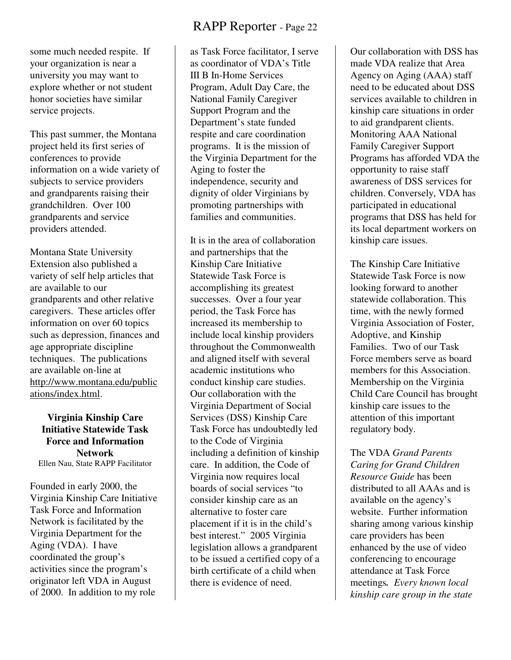some much needed respite. If your organization is near a university you may want to explore whether or not student honor societies have similar service projects.

This past summer, the Montana project held its first series of conferences to provide information on a wide variety of subjects to service providers and grandparents raising their grandchildren. Over 100 grandparents and service providers attended.

Montana State University Extension also published a variety of self help articles that are available to our grandparents and other relative caregivers. These articles offer information on over 60 topics such as depression, finances and age appropriate discipline techniques. The publications are available on-line at http://www.montana.edu/public ations/index.html.

**Virginia Kinship Care Initiative Statewide Task Force and Information Network**  Ellen Nau, State RAPP Facilitator

Founded in early 2000, the Virginia Kinship Care Initiative Task Force and Information Network is facilitated by the Virginia Department for the Aging (VDA). I have coordinated the group's activities since the program's originator left VDA in August of 2000. In addition to my role

# RAPP Reporter - Page 22

as Task Force facilitator, I serve as coordinator of VDA's Title III B In-Home Services Program, Adult Day Care, the National Family Caregiver Support Program and the Department's state funded respite and care coordination programs. It is the mission of the Virginia Department for the Aging to foster the independence, security and dignity of older Virginians by promoting partnerships with families and communities.

It is in the area of collaboration and partnerships that the Kinship Care Initiative Statewide Task Force is accomplishing its greatest successes. Over a four year period, the Task Force has increased its membership to include local kinship providers throughout the Commonwealth and aligned itself with several academic institutions who conduct kinship care studies. Our collaboration with the Virginia Department of Social Services (DSS) Kinship Care Task Force has undoubtedly led to the Code of Virginia including a definition of kinship care. In addition, the Code of Virginia now requires local boards of social services "to consider kinship care as an alternative to foster care placement if it is in the child's best interest." 2005 Virginia legislation allows a grandparent to be issued a certified copy of a birth certificate of a child when there is evidence of need.

Our collaboration with DSS has made VDA realize that Area Agency on Aging (AAA) staff need to be educated about DSS services available to children in kinship care situations in order to aid grandparent clients. Monitoring AAA National Family Caregiver Support Programs has afforded VDA the opportunity to raise staff awareness of DSS services for children. Conversely, VDA has participated in educational programs that DSS has held for its local department workers on kinship care issues.

The Kinship Care Initiative Statewide Task Force is now looking forward to another statewide collaboration. This time, with the newly formed Virginia Association of Foster, Adoptive, and Kinship Families. Two of our Task Force members serve as board members for this Association. Membership on the Virginia Child Care Council has brought kinship care issues to the attention of this important regulatory body.

The VDA *Grand Parents Caring for Grand Children Resource Guide* has been distributed to all AAAs and is available on the agency's website. Further information sharing among various kinship care providers has been enhanced by the use of video conferencing to encourage attendance at Task Force meetings*. Every known local kinship care group in the state*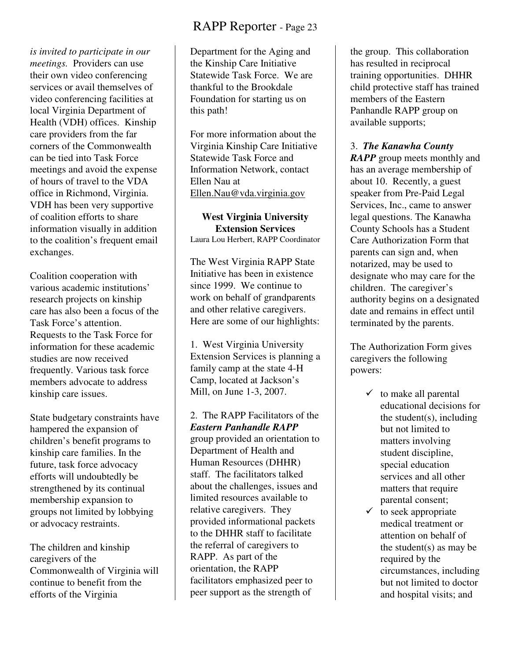*is invited to participate in our meetings.* Providers can use their own video conferencing services or avail themselves of video conferencing facilities at local Virginia Department of Health (VDH) offices. Kinship care providers from the far corners of the Commonwealth can be tied into Task Force meetings and avoid the expense of hours of travel to the VDA office in Richmond, Virginia. VDH has been very supportive of coalition efforts to share information visually in addition to the coalition's frequent email exchanges.

Coalition cooperation with various academic institutions' research projects on kinship care has also been a focus of the Task Force's attention. Requests to the Task Force for information for these academic studies are now received frequently. Various task force members advocate to address kinship care issues.

State budgetary constraints have hampered the expansion of children's benefit programs to kinship care families. In the future, task force advocacy efforts will undoubtedly be strengthened by its continual membership expansion to groups not limited by lobbying or advocacy restraints.

The children and kinship caregivers of the Commonwealth of Virginia will continue to benefit from the efforts of the Virginia

# RAPP Reporter - Page 23

Department for the Aging and the Kinship Care Initiative Statewide Task Force. We are thankful to the Brookdale Foundation for starting us on this path!

For more information about the Virginia Kinship Care Initiative Statewide Task Force and Information Network, contact Ellen Nau at Ellen.Nau@vda.virginia.gov

# **West Virginia University Extension Services**

Laura Lou Herbert, RAPP Coordinator

The West Virginia RAPP State Initiative has been in existence since 1999. We continue to work on behalf of grandparents and other relative caregivers. Here are some of our highlights:

1. West Virginia University Extension Services is planning a family camp at the state 4-H Camp, located at Jackson's Mill, on June 1-3, 2007.

2. The RAPP Facilitators of the *Eastern Panhandle RAPP* group provided an orientation to Department of Health and Human Resources (DHHR) staff. The facilitators talked about the challenges, issues and limited resources available to relative caregivers. They provided informational packets to the DHHR staff to facilitate the referral of caregivers to RAPP. As part of the orientation, the RAPP facilitators emphasized peer to peer support as the strength of

the group. This collaboration has resulted in reciprocal training opportunities. DHHR child protective staff has trained members of the Eastern Panhandle RAPP group on available supports;

#### 3. *The Kanawha County*

*RAPP* group meets monthly and has an average membership of about 10. Recently, a guest speaker from Pre-Paid Legal Services, Inc., came to answer legal questions. The Kanawha County Schools has a Student Care Authorization Form that parents can sign and, when notarized, may be used to designate who may care for the children. The caregiver's authority begins on a designated date and remains in effect until terminated by the parents.

The Authorization Form gives caregivers the following powers:

- $\checkmark$  to make all parental educational decisions for the student(s), including but not limited to matters involving student discipline, special education services and all other matters that require parental consent;
- $\checkmark$  to seek appropriate medical treatment or attention on behalf of the student(s) as may be required by the circumstances, including but not limited to doctor and hospital visits; and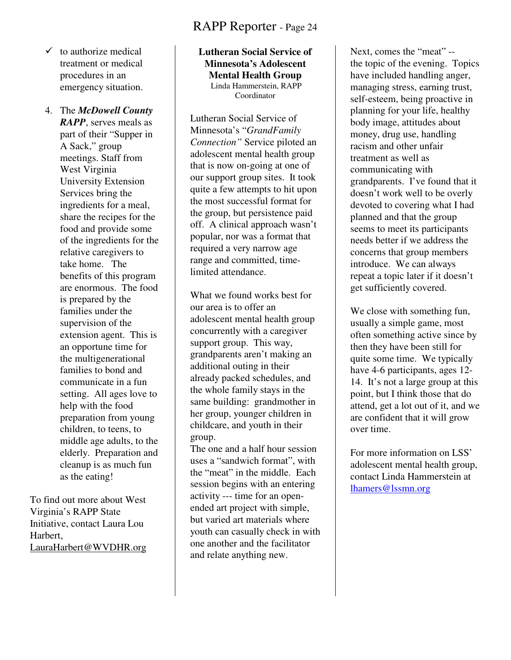- $\checkmark$  to authorize medical treatment or medical procedures in an emergency situation.
- 4. The *McDowell County RAPP*, serves meals as part of their "Supper in A Sack," group meetings. Staff from West Virginia University Extension Services bring the ingredients for a meal, share the recipes for the food and provide some of the ingredients for the relative caregivers to take home. The benefits of this program are enormous. The food is prepared by the families under the supervision of the extension agent. This is an opportune time for the multigenerational families to bond and communicate in a fun setting. All ages love to help with the food preparation from young children, to teens, to middle age adults, to the elderly. Preparation and cleanup is as much fun as the eating!

To find out more about West Virginia's RAPP State Initiative, contact Laura Lou Harbert, LauraHarbert@WVDHR.org

#### **Lutheran Social Service of Minnesota's Adolescent Mental Health Group**  Linda Hammerstein, RAPP Coordinator

Lutheran Social Service of Minnesota's "*GrandFamily Connection"* Service piloted an adolescent mental health group that is now on-going at one of our support group sites. It took quite a few attempts to hit upon the most successful format for the group, but persistence paid off. A clinical approach wasn't popular, nor was a format that required a very narrow age range and committed, timelimited attendance.

What we found works best for our area is to offer an adolescent mental health group concurrently with a caregiver support group. This way, grandparents aren't making an additional outing in their already packed schedules, and the whole family stays in the same building: grandmother in her group, younger children in childcare, and youth in their group.

The one and a half hour session uses a "sandwich format", with the "meat" in the middle. Each session begins with an entering activity --- time for an openended art project with simple, but varied art materials where youth can casually check in with one another and the facilitator and relate anything new.

Next, comes the "meat" - the topic of the evening. Topics have included handling anger, managing stress, earning trust, self-esteem, being proactive in planning for your life, healthy body image, attitudes about money, drug use, handling racism and other unfair treatment as well as communicating with grandparents. I've found that it doesn't work well to be overly devoted to covering what I had planned and that the group seems to meet its participants needs better if we address the concerns that group members introduce. We can always repeat a topic later if it doesn't get sufficiently covered.

We close with something fun, usually a simple game, most often something active since by then they have been still for quite some time. We typically have 4-6 participants, ages 12- 14. It's not a large group at this point, but I think those that do attend, get a lot out of it, and we are confident that it will grow over time.

For more information on LSS' adolescent mental health group, contact Linda Hammerstein at lhamers@lssmn.org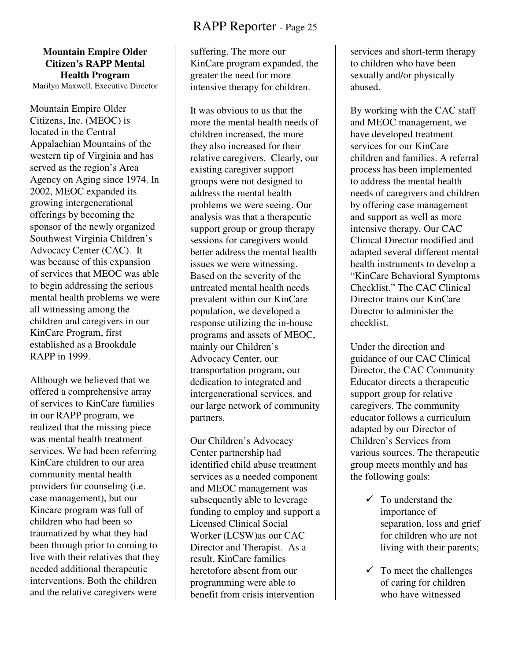#### **Mountain Empire Older Citizen's RAPP Mental Health Program**  Marilyn Maxwell, Executive Director

Mountain Empire Older Citizens, Inc. (MEOC) is located in the Central Appalachian Mountains of the western tip of Virginia and has served as the region's Area Agency on Aging since 1974. In 2002, MEOC expanded its growing intergenerational offerings by becoming the sponsor of the newly organized Southwest Virginia Children's Advocacy Center (CAC). It was because of this expansion of services that MEOC was able to begin addressing the serious mental health problems we were all witnessing among the children and caregivers in our KinCare Program, first established as a Brookdale RAPP in 1999.

Although we believed that we offered a comprehensive array of services to KinCare families in our RAPP program, we realized that the missing piece was mental health treatment services. We had been referring KinCare children to our area community mental health providers for counseling (i.e. case management), but our Kincare program was full of children who had been so traumatized by what they had been through prior to coming to live with their relatives that they needed additional therapeutic interventions. Both the children and the relative caregivers were

suffering. The more our KinCare program expanded, the greater the need for more intensive therapy for children.

It was obvious to us that the more the mental health needs of children increased, the more they also increased for their relative caregivers. Clearly, our existing caregiver support groups were not designed to address the mental health problems we were seeing. Our analysis was that a therapeutic support group or group therapy sessions for caregivers would better address the mental health issues we were witnessing. Based on the severity of the untreated mental health needs prevalent within our KinCare population, we developed a response utilizing the in-house programs and assets of MEOC, mainly our Children's Advocacy Center, our transportation program, our dedication to integrated and intergenerational services, and our large network of community partners.

Our Children's Advocacy Center partnership had identified child abuse treatment services as a needed component and MEOC management was subsequently able to leverage funding to employ and support a Licensed Clinical Social Worker (LCSW)as our CAC Director and Therapist. As a result, KinCare families heretofore absent from our programming were able to benefit from crisis intervention

services and short-term therapy to children who have been sexually and/or physically abused.

By working with the CAC staff and MEOC management, we have developed treatment services for our KinCare children and families. A referral process has been implemented to address the mental health needs of caregivers and children by offering case management and support as well as more intensive therapy. Our CAC Clinical Director modified and adapted several different mental health instruments to develop a "KinCare Behavioral Symptoms Checklist." The CAC Clinical Director trains our KinCare Director to administer the checklist.

Under the direction and guidance of our CAC Clinical Director, the CAC Community Educator directs a therapeutic support group for relative caregivers. The community educator follows a curriculum adapted by our Director of Children's Services from various sources. The therapeutic group meets monthly and has the following goals:

- $\checkmark$  To understand the importance of separation, loss and grief for children who are not living with their parents;
- $\checkmark$  To meet the challenges of caring for children who have witnessed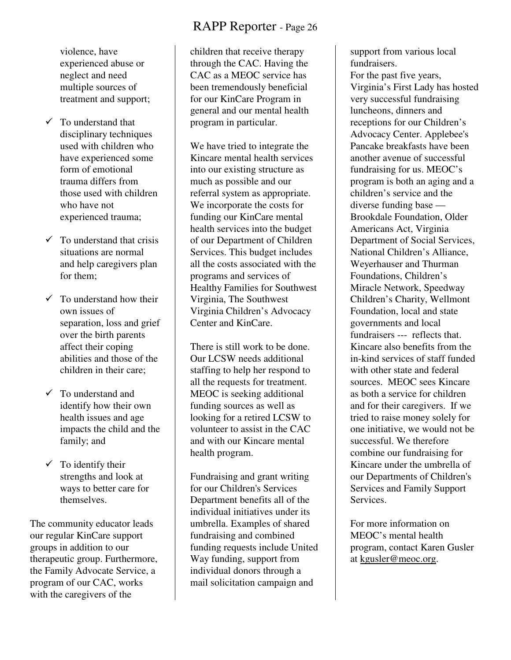violence, have experienced abuse or neglect and need multiple sources of treatment and support;

- $\checkmark$  To understand that disciplinary techniques used with children who have experienced some form of emotional trauma differs from those used with children who have not experienced trauma;
- $\checkmark$  To understand that crisis situations are normal and help caregivers plan for them;
- $\checkmark$  To understand how their own issues of separation, loss and grief over the birth parents affect their coping abilities and those of the children in their care;
- $\checkmark$  To understand and identify how their own health issues and age impacts the child and the family; and
- $\checkmark$  To identify their strengths and look at ways to better care for themselves.

The community educator leads our regular KinCare support groups in addition to our therapeutic group. Furthermore, the Family Advocate Service, a program of our CAC, works with the caregivers of the

children that receive therapy through the CAC. Having the CAC as a MEOC service has been tremendously beneficial for our KinCare Program in general and our mental health program in particular.

We have tried to integrate the Kincare mental health services into our existing structure as much as possible and our referral system as appropriate. We incorporate the costs for funding our KinCare mental health services into the budget of our Department of Children Services. This budget includes all the costs associated with the programs and services of Healthy Families for Southwest Virginia, The Southwest Virginia Children's Advocacy Center and KinCare.

There is still work to be done. Our LCSW needs additional staffing to help her respond to all the requests for treatment. MEOC is seeking additional funding sources as well as looking for a retired LCSW to volunteer to assist in the CAC and with our Kincare mental health program.

Fundraising and grant writing for our Children's Services Department benefits all of the individual initiatives under its umbrella. Examples of shared fundraising and combined funding requests include United Way funding, support from individual donors through a mail solicitation campaign and

support from various local fundraisers.

For the past five years, Virginia's First Lady has hosted very successful fundraising luncheons, dinners and receptions for our Children's Advocacy Center. Applebee's Pancake breakfasts have been another avenue of successful fundraising for us. MEOC's program is both an aging and a children's service and the diverse funding base — Brookdale Foundation, Older Americans Act, Virginia Department of Social Services, National Children's Alliance, Weyerhauser and Thurman Foundations, Children's Miracle Network, Speedway Children's Charity, Wellmont Foundation, local and state governments and local fundraisers --- reflects that. Kincare also benefits from the in-kind services of staff funded with other state and federal sources. MEOC sees Kincare as both a service for children and for their caregivers. If we tried to raise money solely for one initiative, we would not be successful. We therefore combine our fundraising for Kincare under the umbrella of our Departments of Children's Services and Family Support **Services** 

For more information on MEOC's mental health program, contact Karen Gusler at <u>kgusler@meoc.org</u>.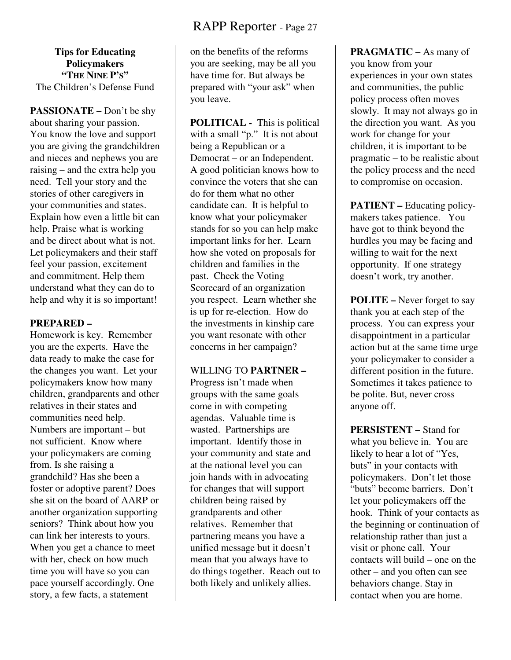**Tips for Educating Policymakers "THE NINE P'S"**  The Children's Defense Fund

**PASSIONATE –** Don't be shy about sharing your passion. You know the love and support you are giving the grandchildren and nieces and nephews you are raising – and the extra help you need. Tell your story and the stories of other caregivers in your communities and states. Explain how even a little bit can help. Praise what is working and be direct about what is not. Let policymakers and their staff feel your passion, excitement and commitment. Help them understand what they can do to help and why it is so important!

#### **PREPARED –**

Homework is key. Remember you are the experts. Have the data ready to make the case for the changes you want. Let your policymakers know how many children, grandparents and other relatives in their states and communities need help. Numbers are important – but not sufficient. Know where your policymakers are coming from. Is she raising a grandchild? Has she been a foster or adoptive parent? Does she sit on the board of AARP or another organization supporting seniors? Think about how you can link her interests to yours. When you get a chance to meet with her, check on how much time you will have so you can pace yourself accordingly. One story, a few facts, a statement

on the benefits of the reforms you are seeking, may be all you have time for. But always be prepared with "your ask" when you leave.

**POLITICAL -** This is political with a small "p." It is not about being a Republican or a Democrat – or an Independent. A good politician knows how to convince the voters that she can do for them what no other candidate can. It is helpful to know what your policymaker stands for so you can help make important links for her. Learn how she voted on proposals for children and families in the past. Check the Voting Scorecard of an organization you respect. Learn whether she is up for re-election. How do the investments in kinship care you want resonate with other concerns in her campaign?

#### WILLING TO **PARTNER –**

Progress isn't made when groups with the same goals come in with competing agendas. Valuable time is wasted. Partnerships are important. Identify those in your community and state and at the national level you can join hands with in advocating for changes that will support children being raised by grandparents and other relatives. Remember that partnering means you have a unified message but it doesn't mean that you always have to do things together. Reach out to both likely and unlikely allies.

**PRAGMATIC –** As many of you know from your experiences in your own states and communities, the public policy process often moves slowly. It may not always go in the direction you want. As you work for change for your children, it is important to be pragmatic – to be realistic about the policy process and the need to compromise on occasion.

**PATIENT –** Educating policymakers takes patience. You have got to think beyond the hurdles you may be facing and willing to wait for the next opportunity. If one strategy doesn't work, try another.

**POLITE –** Never forget to say thank you at each step of the process. You can express your disappointment in a particular action but at the same time urge your policymaker to consider a different position in the future. Sometimes it takes patience to be polite. But, never cross anyone off.

**PERSISTENT –** Stand for what you believe in. You are likely to hear a lot of "Yes, buts" in your contacts with policymakers. Don't let those "buts" become barriers. Don't let your policymakers off the hook. Think of your contacts as the beginning or continuation of relationship rather than just a visit or phone call. Your contacts will build – one on the other – and you often can see behaviors change. Stay in contact when you are home.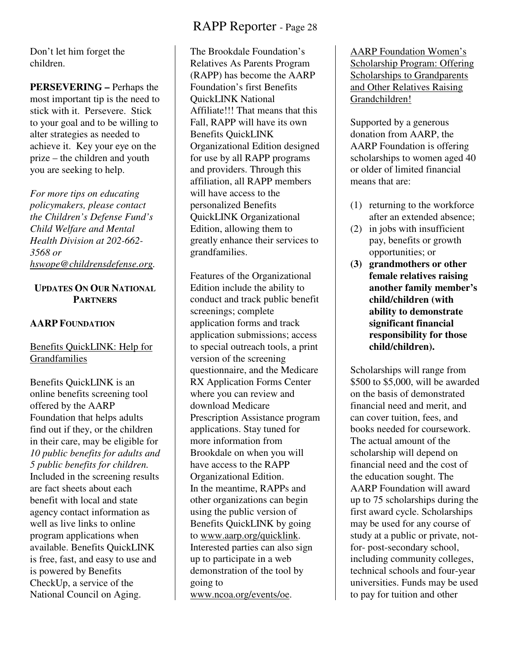Don't let him forget the children.

**PERSEVERING –** Perhaps the most important tip is the need to stick with it. Persevere. Stick to your goal and to be willing to alter strategies as needed to achieve it. Key your eye on the prize – the children and youth you are seeking to help.

*For more tips on educating policymakers, please contact the Children's Defense Fund's Child Welfare and Mental Health Division at 202-662- 3568 or hswope@childrensdefense.org.* 

#### **UPDATES ON OUR NATIONAL PARTNERS**

#### **AARP FOUNDATION**

#### Benefits QuickLINK: Help for Grandfamilies

Benefits QuickLINK is an online benefits screening tool offered by the AARP Foundation that helps adults find out if they, or the children in their care, may be eligible for *10 public benefits for adults and 5 public benefits for children.* Included in the screening results are fact sheets about each benefit with local and state agency contact information as well as live links to online program applications when available. Benefits QuickLINK is free, fast, and easy to use and is powered by Benefits CheckUp, a service of the National Council on Aging.

# RAPP Reporter - Page 28

The Brookdale Foundation's Relatives As Parents Program (RAPP) has become the AARP Foundation's first Benefits QuickLINK National Affiliate!!! That means that this Fall, RAPP will have its own Benefits QuickLINK Organizational Edition designed for use by all RAPP programs and providers. Through this affiliation, all RAPP members will have access to the personalized Benefits QuickLINK Organizational Edition, allowing them to greatly enhance their services to grandfamilies.

Features of the Organizational Edition include the ability to conduct and track public benefit screenings; complete application forms and track application submissions; access to special outreach tools, a print version of the screening questionnaire, and the Medicare RX Application Forms Center where you can review and download Medicare Prescription Assistance program applications. Stay tuned for more information from Brookdale on when you will have access to the RAPP Organizational Edition. In the meantime, RAPPs and other organizations can begin using the public version of Benefits QuickLINK by going to www.aarp.org/quicklink. Interested parties can also sign up to participate in a web demonstration of the tool by going to www.ncoa.org/events/oe.

AARP Foundation Women's Scholarship Program: Offering Scholarships to Grandparents and Other Relatives Raising Grandchildren!

Supported by a generous donation from AARP, the AARP Foundation is offering scholarships to women aged 40 or older of limited financial means that are:

- (1) returning to the workforce after an extended absence;
- (2) in jobs with insufficient pay, benefits or growth opportunities; or
- **(3) grandmothers or other female relatives raising another family member's child/children (with ability to demonstrate significant financial responsibility for those child/children).**

Scholarships will range from \$500 to \$5,000, will be awarded on the basis of demonstrated financial need and merit, and can cover tuition, fees, and books needed for coursework. The actual amount of the scholarship will depend on financial need and the cost of the education sought. The AARP Foundation will award up to 75 scholarships during the first award cycle. Scholarships may be used for any course of study at a public or private, notfor- post-secondary school, including community colleges, technical schools and four-year universities. Funds may be used to pay for tuition and other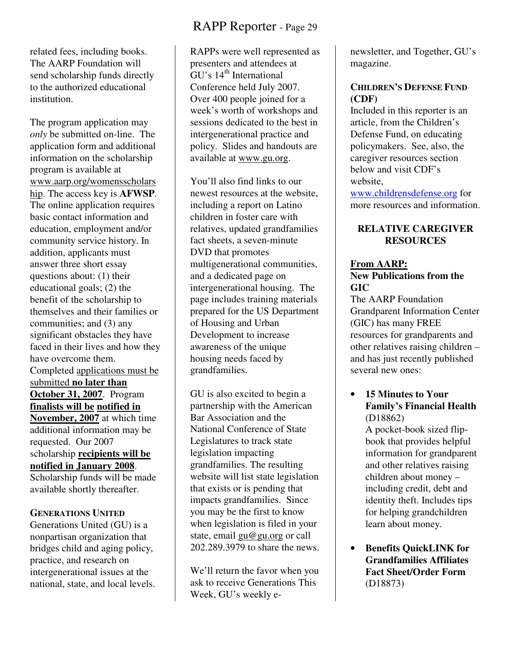related fees, including books. The AARP Foundation will send scholarship funds directly to the authorized educational institution.

The program application may *only* be submitted on-line. The application form and additional information on the scholarship program is available at www.aarp.org/womensscholars hip. The access key is **AFWSP**. The online application requires basic contact information and education, employment and/or community service history. In addition, applicants must answer three short essay questions about: (1) their educational goals; (2) the benefit of the scholarship to themselves and their families or communities; and (3) any significant obstacles they have faced in their lives and how they have overcome them. Completed applications must be submitted **no later than October 31, 2007**. Program **finalists will be notified in November, 2007** at which time additional information may be requested. Our 2007 scholarship **recipients will be notified in January 2008**. Scholarship funds will be made available shortly thereafter.

#### **GENERATIONS UNITED**

Generations United (GU) is a nonpartisan organization that bridges child and aging policy, practice, and research on intergenerational issues at the national, state, and local levels.

# RAPP Reporter - Page 29

RAPPs were well represented as presenters and attendees at  $\rm G$ U's 14<sup>th</sup> International Conference held July 2007. Over 400 people joined for a week's worth of workshops and sessions dedicated to the best in intergenerational practice and policy. Slides and handouts are available at www.gu.org.

You'll also find links to our newest resources at the website, including a report on Latino children in foster care with relatives, updated grandfamilies fact sheets, a seven-minute DVD that promotes multigenerational communities, and a dedicated page on intergenerational housing. The page includes training materials prepared for the US Department of Housing and Urban Development to increase awareness of the unique housing needs faced by grandfamilies.

GU is also excited to begin a partnership with the American Bar Association and the National Conference of State Legislatures to track state legislation impacting grandfamilies. The resulting website will list state legislation that exists or is pending that impacts grandfamilies. Since you may be the first to know when legislation is filed in your state, email gu@gu.org or call 202.289.3979 to share the news.

We'll return the favor when you ask to receive Generations This Week, GU's weekly enewsletter, and Together, GU's magazine.

#### **CHILDREN'S DEFENSE FUND (CDF)**

Included in this reporter is an article, from the Children's Defense Fund, on educating policymakers. See, also, the caregiver resources section below and visit CDF's website,

www.childrensdefense.org for more resources and information.

#### **RELATIVE CAREGIVER RESOURCES**

#### **From AARP: New Publications from the GIC**

The AARP Foundation Grandparent Information Center (GIC) has many FREE resources for grandparents and other relatives raising children – and has just recently published several new ones:

• **15 Minutes to Your Family's Financial Health** (D18862)

A pocket-book sized flipbook that provides helpful information for grandparent and other relatives raising children about money – including credit, debt and identity theft. Includes tips for helping grandchildren learn about money.

• **Benefits QuickLINK for Grandfamilies Affiliates Fact Sheet/Order Form** (D18873)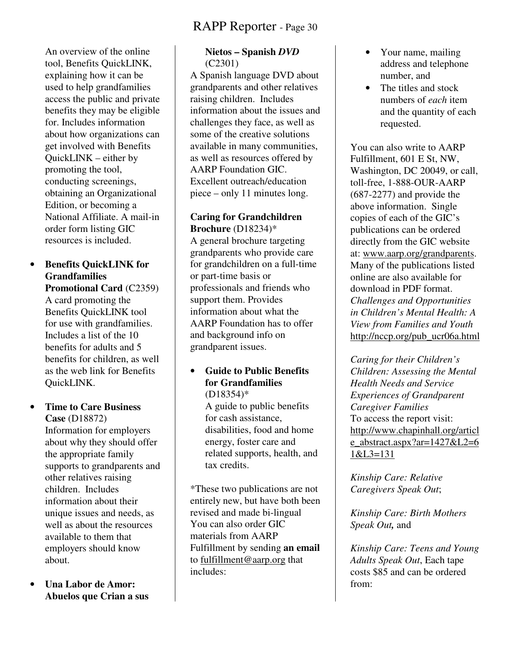An overview of the online tool, Benefits QuickLINK, explaining how it can be used to help grandfamilies access the public and private benefits they may be eligible for. Includes information about how organizations can get involved with Benefits QuickLINK – either by promoting the tool, conducting screenings, obtaining an Organizational Edition, or becoming a National Affiliate. A mail-in order form listing GIC resources is included.

#### • **Benefits QuickLINK for Grandfamilies Promotional Card** (C2359)

A card promoting the Benefits QuickLINK tool for use with grandfamilies. Includes a list of the 10 benefits for adults and 5 benefits for children, as well as the web link for Benefits QuickLINK.

#### • **Time to Care Business Case** (D18872) Information for employers about why they should offer the appropriate family supports to grandparents and other relatives raising children. Includes information about their unique issues and needs, as well as about the resources available to them that employers should know

• **Una Labor de Amor: Abuelos que Crian a sus** 

about.

#### **Nietos – Spanish** *DVD*  (C2301)

A Spanish language DVD about grandparents and other relatives raising children. Includes information about the issues and challenges they face, as well as some of the creative solutions available in many communities, as well as resources offered by AARP Foundation GIC. Excellent outreach/education piece – only 11 minutes long.

#### **Caring for Grandchildren Brochure** (D18234)\*

A general brochure targeting grandparents who provide care for grandchildren on a full-time or part-time basis or professionals and friends who support them. Provides information about what the AARP Foundation has to offer and background info on grandparent issues.

• **Guide to Public Benefits for Grandfamilies** (D18354)\* A guide to public benefits for cash assistance, disabilities, food and home energy, foster care and related supports, health, and tax credits.

\*These two publications are not entirely new, but have both been revised and made bi-lingual You can also order GIC materials from AARP Fulfillment by sending **an email** to fulfillment@aarp.org that includes:

- Your name, mailing address and telephone number, and
- The titles and stock numbers of *each* item and the quantity of each requested.

You can also write to AARP Fulfillment, 601 E St, NW, Washington, DC 20049, or call, toll-free, 1-888-OUR-AARP (687-2277) and provide the above information. Single copies of each of the GIC's publications can be ordered directly from the GIC website at: www.aarp.org/grandparents. Many of the publications listed online are also available for download in PDF format. *Challenges and Opportunities in Children's Mental Health: A View from Families and Youth*  http://nccp.org/pub\_ucr06a.html

*Caring for their Children's Children: Assessing the Mental Health Needs and Service Experiences of Grandparent Caregiver Families*  To access the report visit: http://www.chapinhall.org/articl e\_abstract.aspx?ar= $1427&L2=6$ 1&L3=131

*Kinship Care: Relative Caregivers Speak Out*;

*Kinship Care: Birth Mothers Speak Out,* and

*Kinship Care: Teens and Young Adults Speak Out*, Each tape costs \$85 and can be ordered from: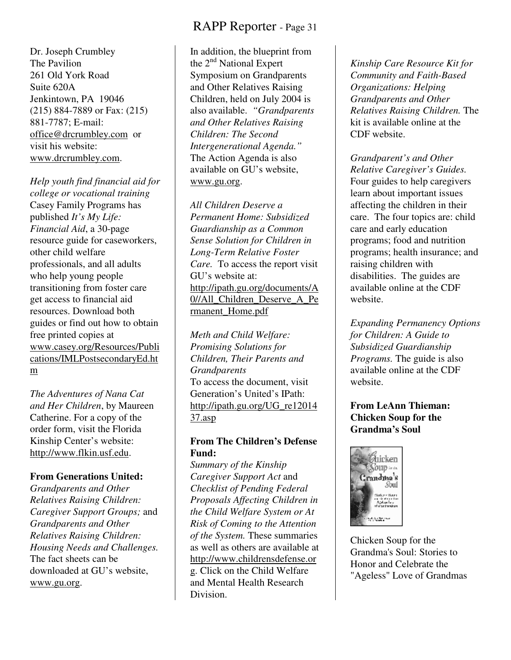Dr. Joseph Crumbley The Pavilion 261 Old York Road Suite 620A Jenkintown, PA 19046 (215) 884-7889 or Fax: (215) 881-7787; E-mail: office@drcrumbley.com or visit his website: www.drcrumbley.com.

*Help youth find financial aid for college or vocational training* Casey Family Programs has published *It's My Life: Financial Aid*, a 30-page resource guide for caseworkers, other child welfare professionals, and all adults who help young people transitioning from foster care get access to financial aid resources. Download both guides or find out how to obtain free printed copies at www.casey.org/Resources/Publi cations/IMLPostsecondaryEd.ht m

*The Adventures of Nana Cat and Her Children*, by Maureen Catherine. For a copy of the order form, visit the Florida Kinship Center's website: http://www.flkin.usf.edu.

#### **From Generations United:**

*Grandparents and Other Relatives Raising Children: Caregiver Support Groups;* and *Grandparents and Other Relatives Raising Children: Housing Needs and Challenges.*  The fact sheets can be downloaded at GU's website, www.gu.org.

In addition, the blueprint from the  $2<sup>nd</sup>$  National Expert Symposium on Grandparents and Other Relatives Raising Children, held on July 2004 is also available. *"Grandparents and Other Relatives Raising Children: The Second Intergenerational Agenda."* The Action Agenda is also available on GU's website, www.gu.org.

*All Children Deserve a Permanent Home: Subsidized Guardianship as a Common Sense Solution for Children in Long-Term Relative Foster Care.* To access the report visit GU's website at: http://ipath.gu.org/documents/A 0//All\_Children\_Deserve\_A\_Pe rmanent\_Home.pdf

*Meth and Child Welfare: Promising Solutions for Children, Their Parents and Grandparents*  To access the document, visit Generation's United's IPath: http://ipath.gu.org/UG\_re12014 37.asp

#### **From The Children's Defense Fund:**

*Summary of the Kinship Caregiver Support Act* and *Checklist of Pending Federal Proposals Affecting Children in the Child Welfare System or At Risk of Coming to the Attention of the System.* These summaries as well as others are available at http://www.childrensdefense.or g. Click on the Child Welfare and Mental Health Research Division.

*Kinship Care Resource Kit for Community and Faith-Based Organizations: Helping Grandparents and Other Relatives Raising Children.* The kit is available online at the CDF website.

*Grandparent's and Other Relative Caregiver's Guides.*  Four guides to help caregivers learn about important issues affecting the children in their care. The four topics are: child care and early education programs; food and nutrition programs; health insurance; and raising children with disabilities. The guides are available online at the CDF website.

*Expanding Permanency Options for Children: A Guide to Subsidized Guardianship Programs.* The guide is also available online at the CDF website.

#### **From LeAnn Thieman: Chicken Soup for the Grandma's Soul**



Chicken Soup for the Grandma's Soul: Stories to Honor and Celebrate the "Ageless" Love of Grandmas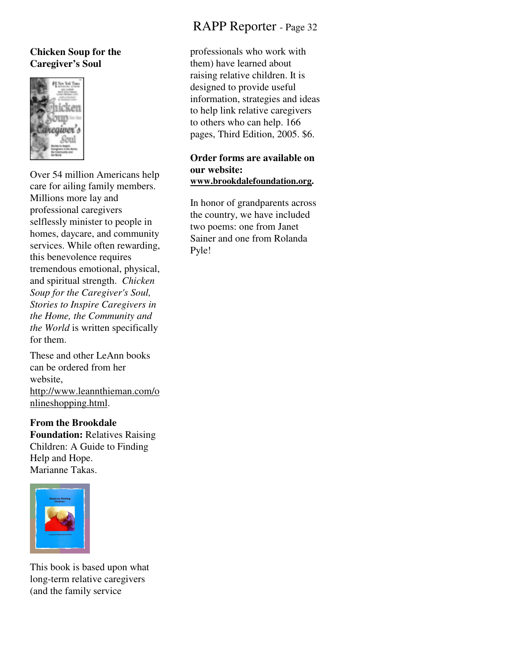#### **Chicken Soup for the Caregiver's Soul**



Over 54 million Americans help care for ailing family members. Millions more lay and professional caregivers selflessly minister to people in homes, daycare, and community services. While often rewarding, this benevolence requires tremendous emotional, physical, and spiritual strength. *Chicken Soup for the Caregiver's Soul, Stories to Inspire Caregivers in the Home, the Community and the World* is written specifically for them.

These and other LeAnn books can be ordered from her website, http://www.leannthieman.com/o

nlineshopping.html.

**From the Brookdale Foundation:** Relatives Raising Children: A Guide to Finding Help and Hope. Marianne Takas.



This book is based upon what long-term relative caregivers (and the family service

# RAPP Reporter - Page 32

professionals who work with them) have learned about raising relative children. It is designed to provide useful information, strategies and ideas to help link relative caregivers to others who can help. 166 pages, Third Edition, 2005. \$6.

#### **Order forms are available on our website: www.brookdalefoundation.org.**

In honor of grandparents across the country, we have included two poems: one from Janet Sainer and one from Rolanda Pyle!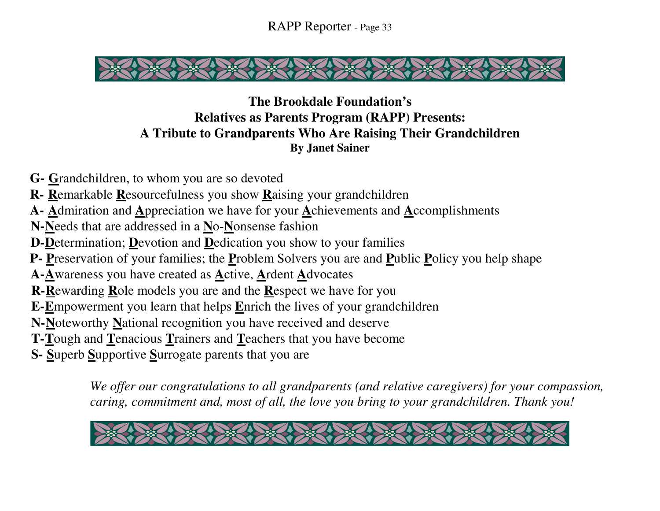

# **The Brookdale Foundation's Relatives as Parents Program (RAPP) Presents: A Tribute to Grandparents Who Are Raising Their Grandchildren By Janet Sainer**

- **G- G**randchildren, to whom you are so devoted
- **R- R**emarkable **R**esourcefulness you show **R**aising your grandchildren
- **A- A**dmiration and **A**ppreciation we have for your **A**chievements and **A**ccomplishments
- **N-N**eeds that are addressed in a **N**o-**N**onsense fashion
- **D-D**etermination; **D**evotion and **D**edication you show to your families
- **P- P**reservation of your families; the **P**roblem Solvers you are and **P**ublic **P**olicy you help shape
- **A-A**wareness you have created as **A**ctive, **A**rdent **A**dvocates
- **R- R**ewarding **R**ole models you are and the **R**espect we have for you
- **E- E**mpowerment you learn that helps **E**nrich the lives of your grandchildren
- **N- N**oteworthy **N**ational recognition you have received and deserve
- **T- T**ough and **T**enacious **T**rainers and **T**eachers that you have become
- **S- S**uperb **S**upportive **S**urrogate parents that you are

*We offer our congratulations to all grandparents (and relative caregivers) for your compassion, caring, commitment and, most of all, the love you bring to your grandchildren. Thank you!* 

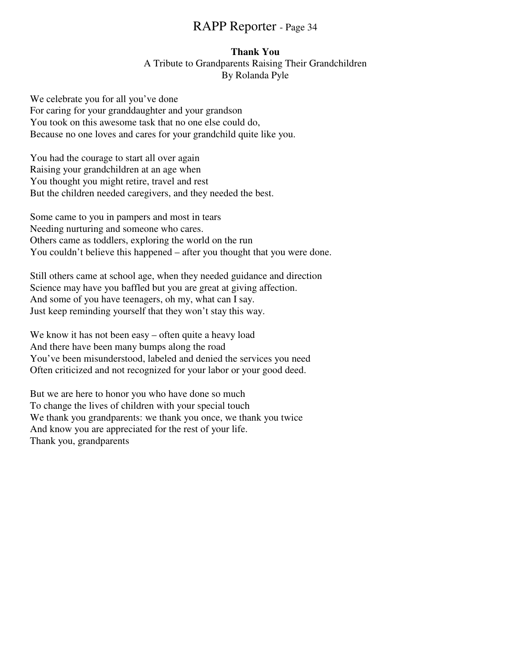#### **Thank You**

A Tribute to Grandparents Raising Their Grandchildren By Rolanda Pyle

We celebrate you for all you've done For caring for your granddaughter and your grandson You took on this awesome task that no one else could do, Because no one loves and cares for your grandchild quite like you.

You had the courage to start all over again Raising your grandchildren at an age when You thought you might retire, travel and rest But the children needed caregivers, and they needed the best.

Some came to you in pampers and most in tears Needing nurturing and someone who cares. Others came as toddlers, exploring the world on the run You couldn't believe this happened – after you thought that you were done.

Still others came at school age, when they needed guidance and direction Science may have you baffled but you are great at giving affection. And some of you have teenagers, oh my, what can I say. Just keep reminding yourself that they won't stay this way.

We know it has not been easy – often quite a heavy load And there have been many bumps along the road You've been misunderstood, labeled and denied the services you need Often criticized and not recognized for your labor or your good deed.

But we are here to honor you who have done so much To change the lives of children with your special touch We thank you grandparents: we thank you once, we thank you twice And know you are appreciated for the rest of your life. Thank you, grandparents